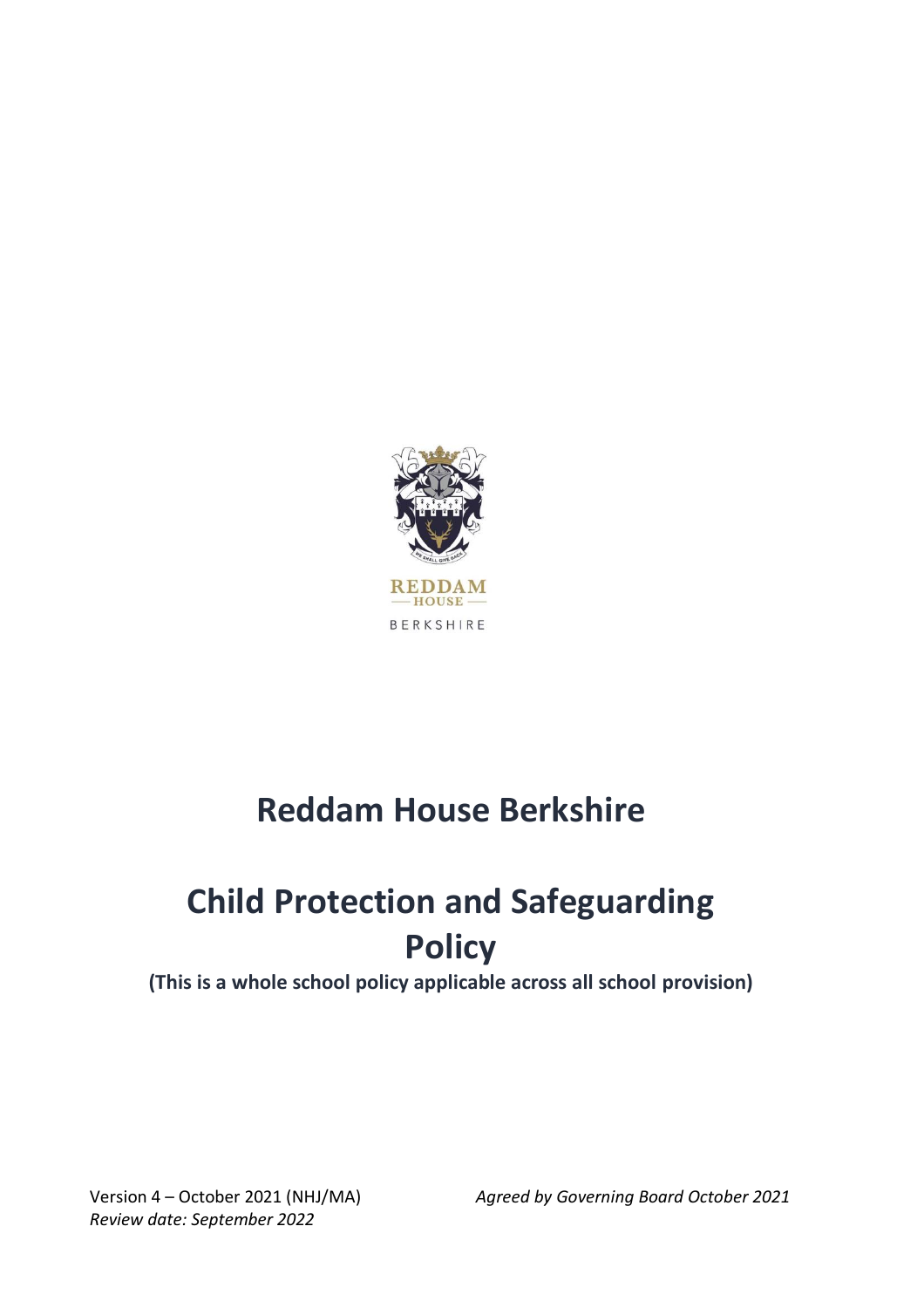

# **Reddam House Berkshire**

# **Child Protection and Safeguarding Policy**

**(This is a whole school policy applicable across all school provision)**

*Review date: September 2022*

Version 4 – October 2021 (NHJ/MA) *Agreed by Governing Board October 2021*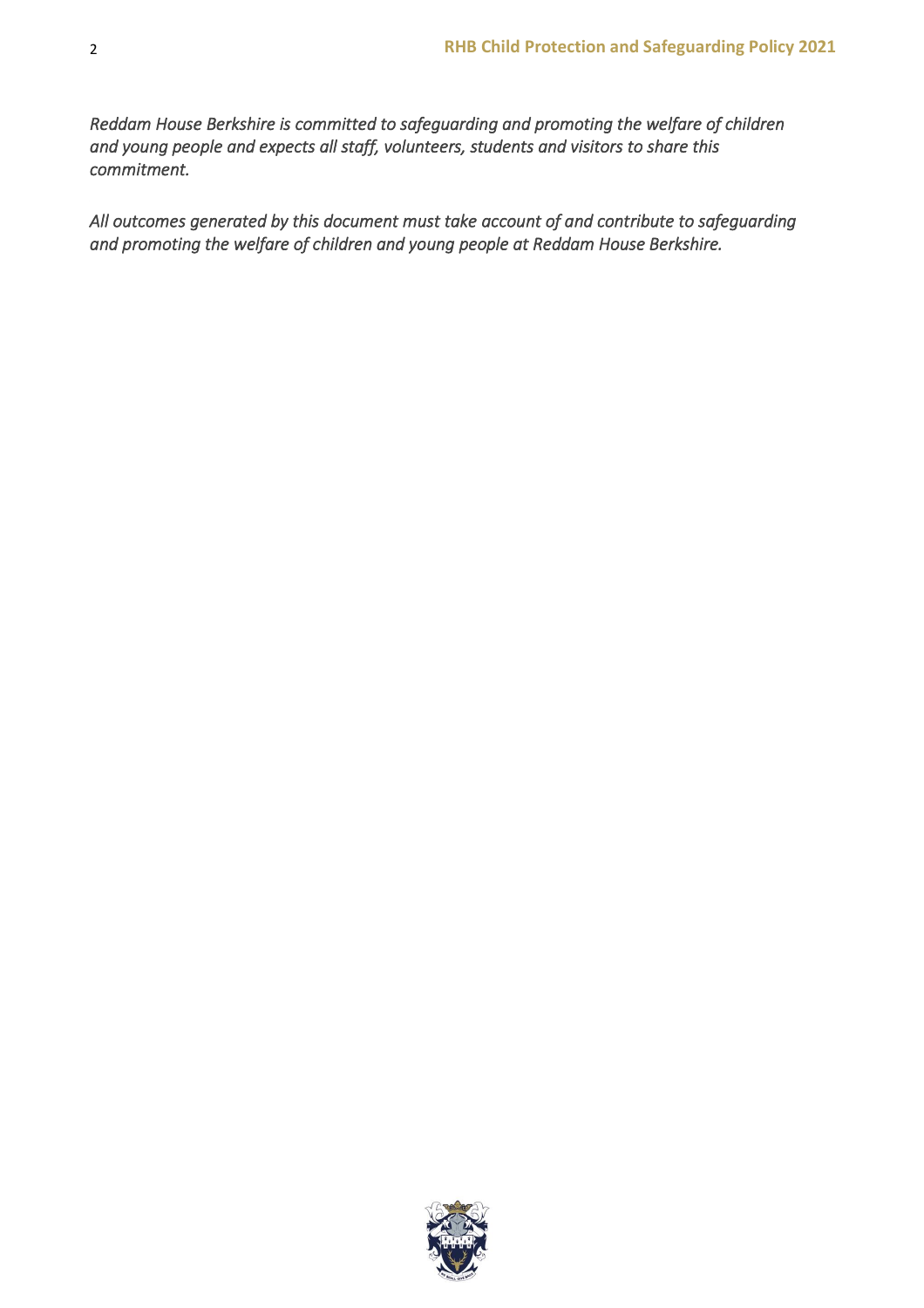*Reddam House Berkshire is committed to safeguarding and promoting the welfare of children and young people and expects all staff, volunteers, students and visitors to share this commitment.* 

*All outcomes generated by this document must take account of and contribute to safeguarding and promoting the welfare of children and young people at Reddam House Berkshire.* 

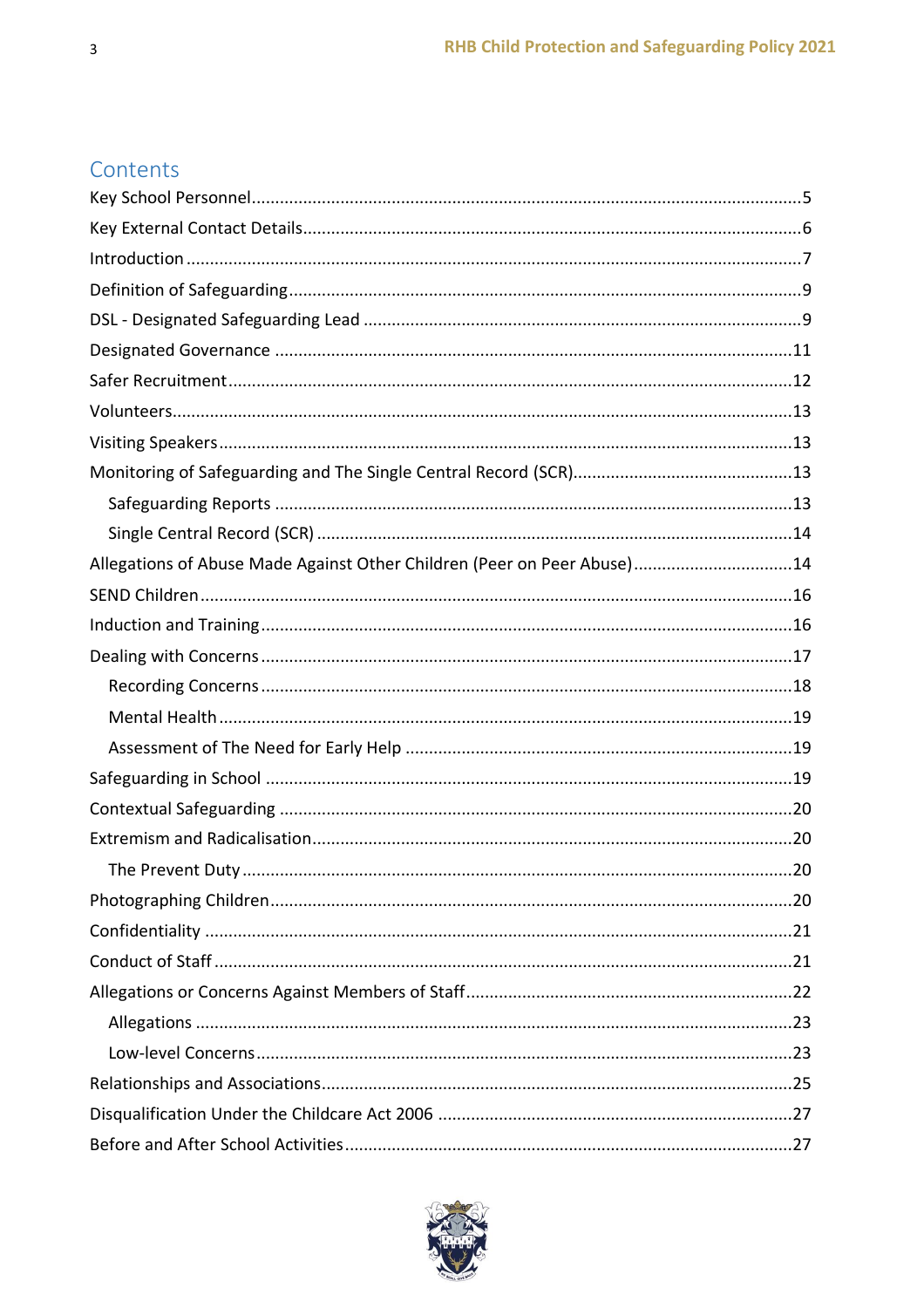# Contents

| Allegations of Abuse Made Against Other Children (Peer on Peer Abuse)14 |  |
|-------------------------------------------------------------------------|--|
|                                                                         |  |
|                                                                         |  |
|                                                                         |  |
|                                                                         |  |
|                                                                         |  |
|                                                                         |  |
|                                                                         |  |
|                                                                         |  |
|                                                                         |  |
|                                                                         |  |
|                                                                         |  |
|                                                                         |  |
|                                                                         |  |
|                                                                         |  |
|                                                                         |  |
|                                                                         |  |
|                                                                         |  |
|                                                                         |  |
|                                                                         |  |

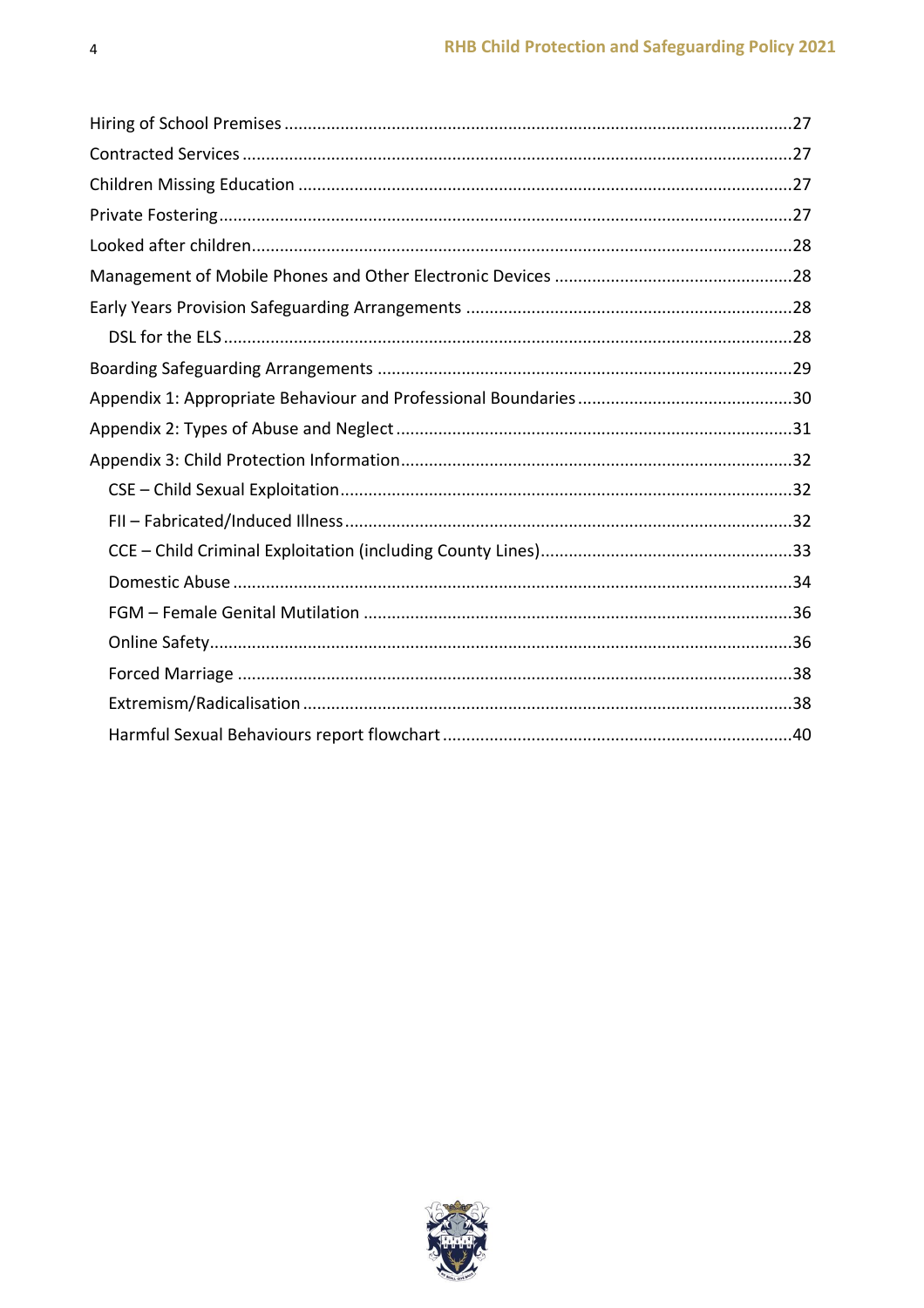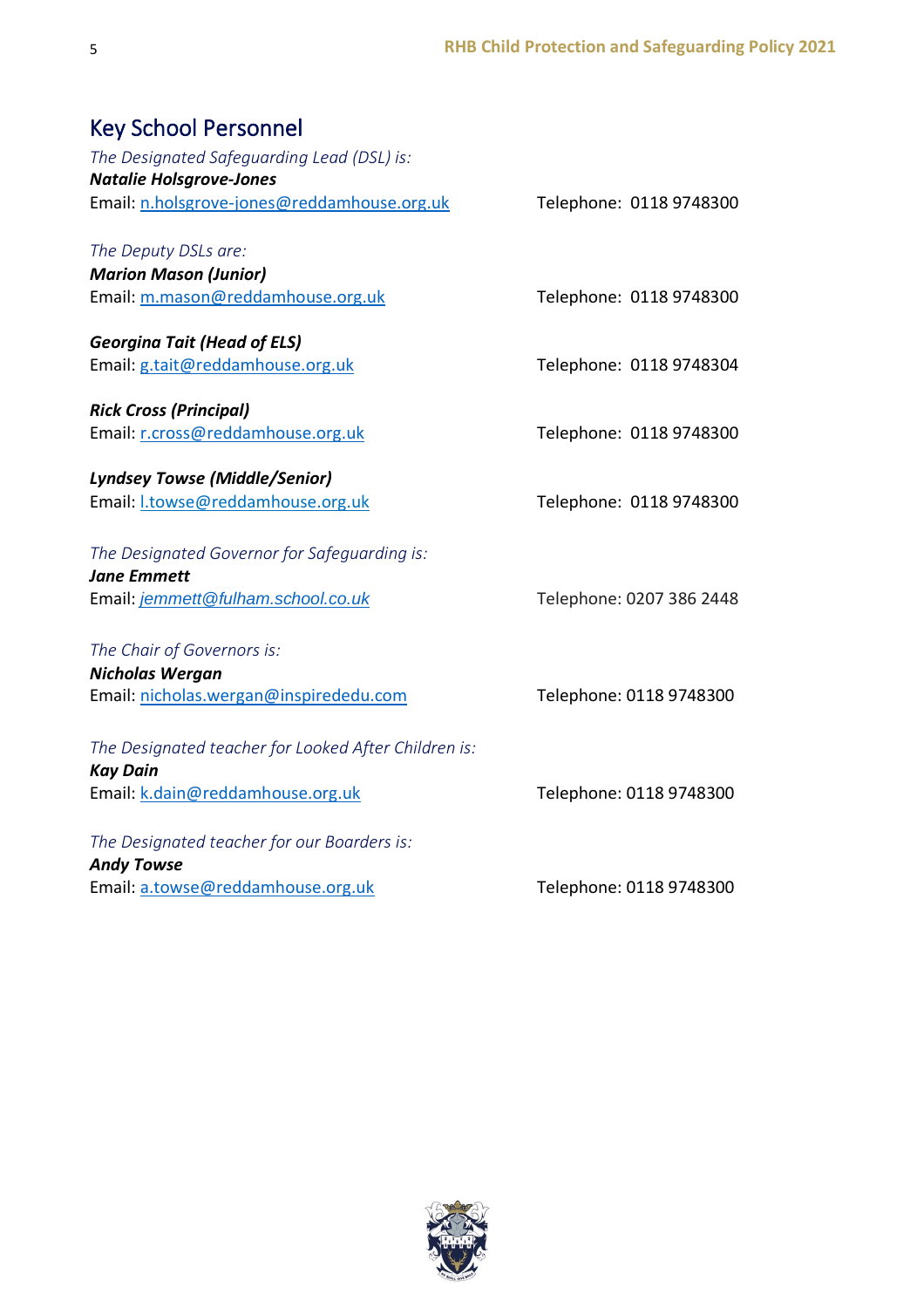# <span id="page-4-0"></span>Key School Personnel

*The Designated Safeguarding Lead (DSL) is: Natalie Holsgrove-Jones* Email: [n.holsgrove-jones@reddamhouse.org.uk](mailto:n.holsgrove-jones@reddamhouse.org.uk) Telephone: 0118 9748300

*The Deputy DSLs are: Marion Mason (Junior)* Email: [m.mason@reddamhouse.org.uk](mailto:m.mason@reddamhouse.org.uk) Telephone: 0118 9748300

*Georgina Tait (Head of ELS)* Email: [g.tait@reddamhouse.org.uk](mailto:g.tait@reddamhouse.org.uk) Telephone: 0118 9748304

*Rick Cross (Principal)* Email: [r.cross@reddamhouse.org.uk](mailto:r.cross@reddamhouse.org.uk) Telephone: 0118 9748300

*Lyndsey Towse (Middle/Senior)* Email: Ltowse@reddamhouse.org.uk Telephone: 0118 9748300

*The Designated Governor for Safeguarding is: Jane Emmett*  Email: *[jemmett@fulham.school.co.uk](mailto:jemmett@fulham.school)* [T](mailto:jemmett@fulham.school)elephone: 0207 386 2448

*The Chair of Governors is: Nicholas Wergan* Email: [nicholas.wergan@inspirededu.com](mailto:nicholas.wergan@inspirededu.com) Telephone: 0118 9748300

*The Designated teacher for Looked After Children is: Kay Dain* Email: [k.dain@reddamhouse.org.uk](mailto:k.dain@reddamhouse.org.uk) Telephone: 0118 9748300

*The Designated teacher for our Boarders is: Andy Towse* Email: [a.towse@reddamhouse.org.uk](mailto:a.towse@reddamhouse.org.uk) Telephone: 0118 9748300

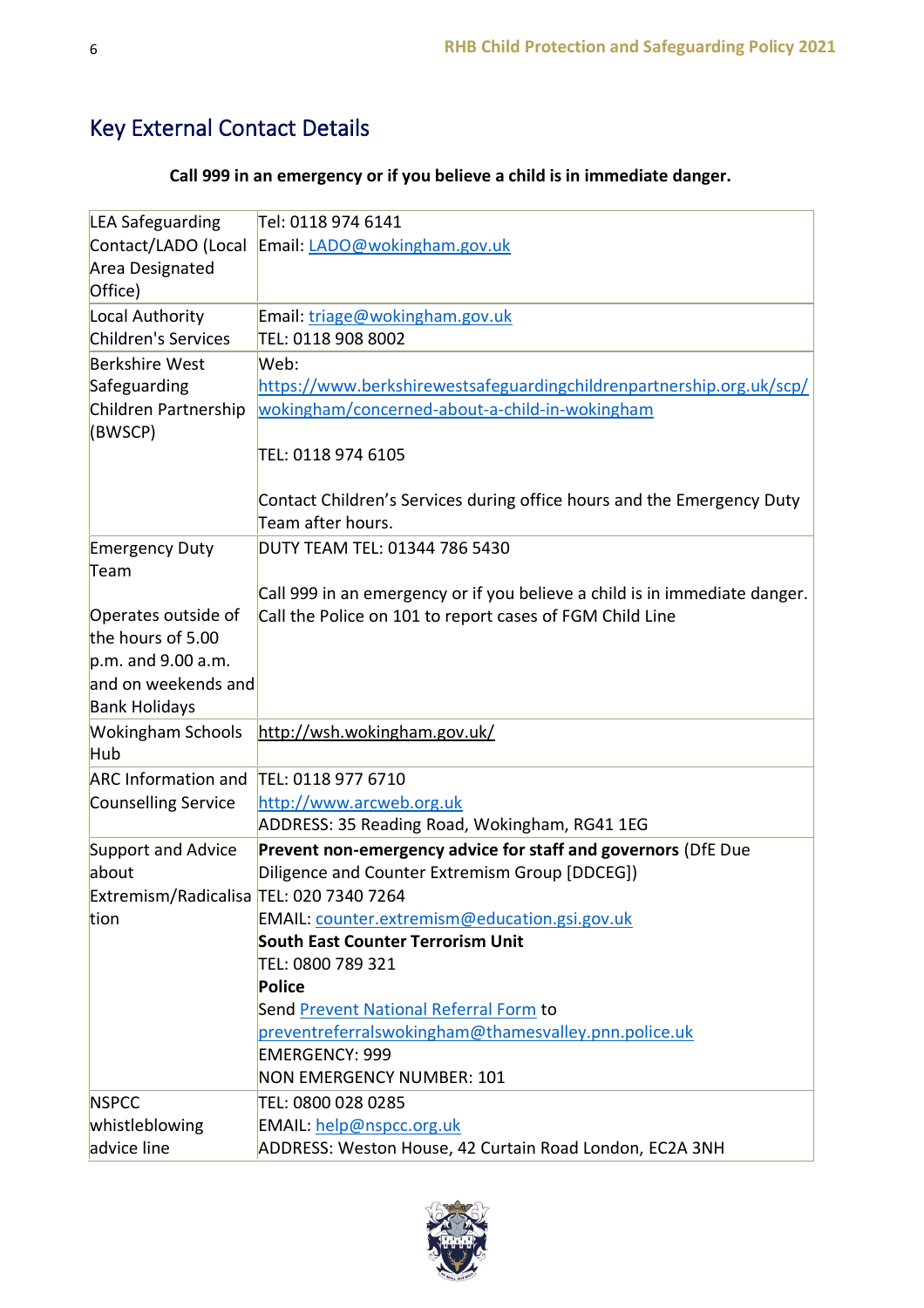# <span id="page-5-0"></span>Key External Contact Details

**Call 999 in an emergency or if you believe a child is in immediate danger.**

| LEA Safeguarding                        | Tel: 0118 974 6141                                                         |
|-----------------------------------------|----------------------------------------------------------------------------|
| Contact/LADO (Local                     | Email: LADO@wokingham.gov.uk                                               |
| Area Designated                         |                                                                            |
| Office)                                 |                                                                            |
| Local Authority                         | Email: triage@wokingham.gov.uk                                             |
| Children's Services                     | TEL: 0118 908 8002                                                         |
| <b>Berkshire West</b>                   | Web:                                                                       |
| Safeguarding                            | https://www.berkshirewestsafeguardingchildrenpartnership.org.uk/scp/       |
| Children Partnership                    | wokingham/concerned-about-a-child-in-wokingham                             |
| (BWSCP)                                 |                                                                            |
|                                         | TEL: 0118 974 6105                                                         |
|                                         | Contact Children's Services during office hours and the Emergency Duty     |
|                                         | Team after hours.                                                          |
| <b>Emergency Duty</b>                   | DUTY TEAM TEL: 01344 786 5430                                              |
| Team                                    |                                                                            |
|                                         | Call 999 in an emergency or if you believe a child is in immediate danger. |
| Operates outside of                     | Call the Police on 101 to report cases of FGM Child Line                   |
| the hours of 5.00                       |                                                                            |
| $p.m.$ and 9.00 a.m.                    |                                                                            |
| and on weekends and                     |                                                                            |
| <b>Bank Holidays</b>                    |                                                                            |
| <b>Wokingham Schools</b>                | http://wsh.wokingham.gov.uk/                                               |
| Hub                                     |                                                                            |
| <b>ARC</b> Information and              | TEL: 0118 977 6710                                                         |
| Counselling Service                     | http://www.arcweb.org.uk                                                   |
|                                         | ADDRESS: 35 Reading Road, Wokingham, RG41 1EG                              |
| Support and Advice                      | Prevent non-emergency advice for staff and governors (DfE Due              |
| about                                   | Diligence and Counter Extremism Group [DDCEG])                             |
| Extremism/Radicalisa TEL: 020 7340 7264 |                                                                            |
| tion                                    | EMAIL: counter.extremism@education.gsi.gov.uk                              |
|                                         | <b>South East Counter Terrorism Unit</b>                                   |
|                                         | TEL: 0800 789 321                                                          |
|                                         | Police                                                                     |
|                                         | Send Prevent National Referral Form to                                     |
|                                         | preventreferralswokingham@thamesvalley.pnn.police.uk                       |
|                                         | <b>EMERGENCY: 999</b>                                                      |
|                                         | <b>NON EMERGENCY NUMBER: 101</b>                                           |
| <b>NSPCC</b>                            | TEL: 0800 028 0285                                                         |
| whistleblowing                          | EMAIL: help@nspcc.org.uk                                                   |
| advice line                             | ADDRESS: Weston House, 42 Curtain Road London, EC2A 3NH                    |

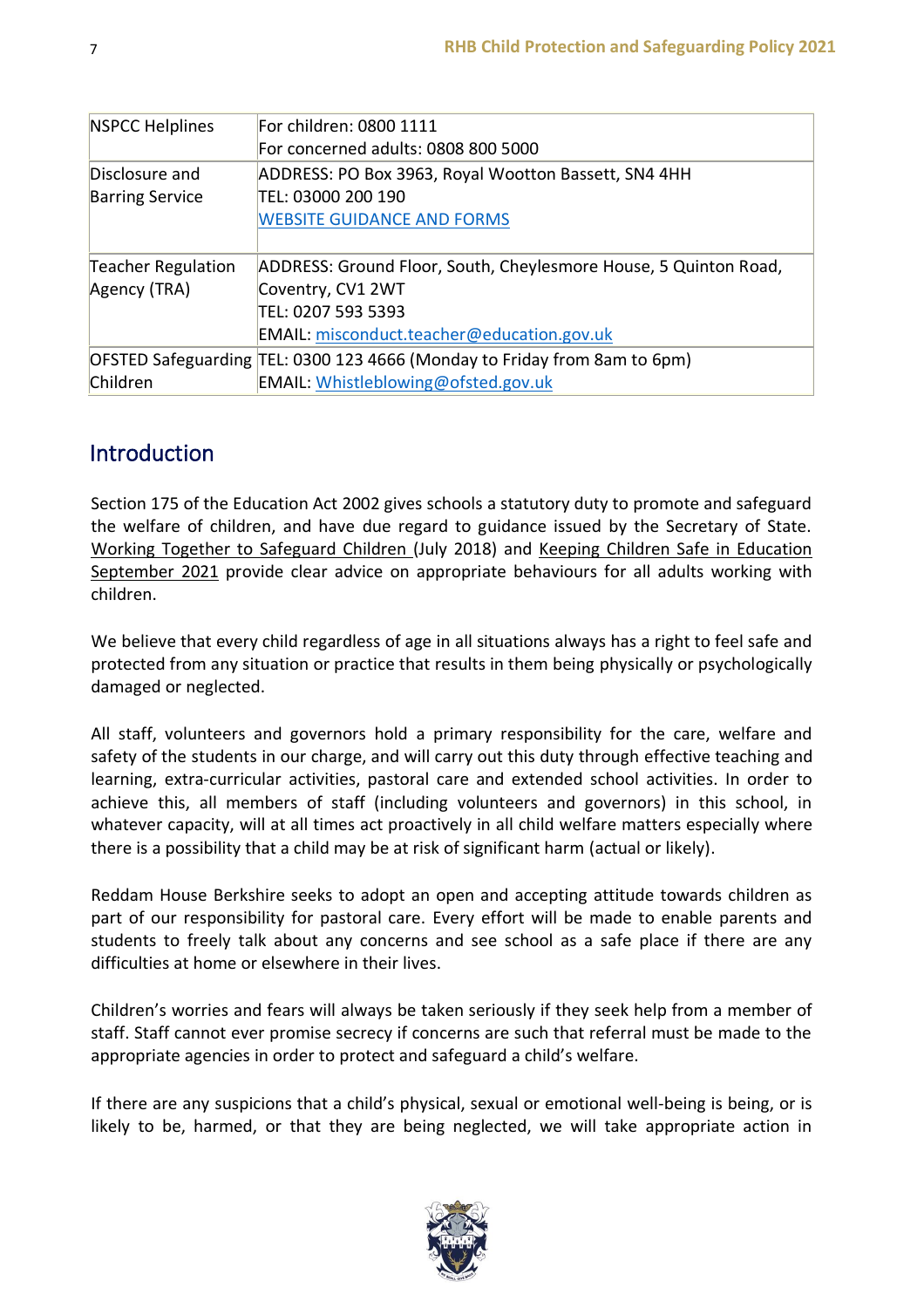| <b>NSPCC Helplines</b>                   | For children: 0800 1111<br>For concerned adults: 0808 800 5000                                                                                            |
|------------------------------------------|-----------------------------------------------------------------------------------------------------------------------------------------------------------|
| Disclosure and<br><b>Barring Service</b> | ADDRESS: PO Box 3963, Royal Wootton Bassett, SN4 4HH<br>TEL: 03000 200 190<br><b>WEBSITE GUIDANCE AND FORMS</b>                                           |
| Teacher Regulation<br>Agency (TRA)       | ADDRESS: Ground Floor, South, Cheylesmore House, 5 Quinton Road,<br>Coventry, CV1 2WT<br>TEL: 0207 593 5393<br>EMAIL: misconduct.teacher@education.gov.uk |
| Children                                 | OFSTED Safeguarding TEL: 0300 123 4666 (Monday to Friday from 8am to 6pm)<br>EMAIL: Whistleblowing@ofsted.gov.uk                                          |

### <span id="page-6-0"></span>**Introduction**

Section 175 of the Education Act 2002 gives schools a statutory duty to promote and safeguard the welfare of children, and have due regard to guidance issued by the Secretary of State. [Working Together to](https://www.gov.uk/government/uploads/system/uploads/attachment_data/file/281368/Working_together_to_safeguard_children.pdf) [Safeguard Children](https://www.gov.uk/government/uploads/system/uploads/attachment_data/file/281368/Working_together_to_safeguard_children.pdf) (July 2018) and [Keeping Children Safe in](https://assets.publishing.service.gov.uk/government/uploads/system/uploads/attachment_data/file/892394/Keeping_children_safe_in_education_2020.pdf) [Education](https://assets.publishing.service.gov.uk/government/uploads/system/uploads/attachment_data/file/892394/Keeping_children_safe_in_education_2020.pdf)  September 2021 provide clear advice on appropriate behaviours for all adults working with children.

We believe that every child regardless of age in all situations always has a right to feel safe and protected from any situation or practice that results in them being physically or psychologically damaged or neglected.

All staff, volunteers and governors hold a primary responsibility for the care, welfare and safety of the students in our charge, and will carry out this duty through effective teaching and learning, extra-curricular activities, pastoral care and extended school activities. In order to achieve this, all members of staff (including volunteers and governors) in this school, in whatever capacity, will at all times act proactively in all child welfare matters especially where there is a possibility that a child may be at risk of significant harm (actual or likely).

Reddam House Berkshire seeks to adopt an open and accepting attitude towards children as part of our responsibility for pastoral care. Every effort will be made to enable parents and students to freely talk about any concerns and see school as a safe place if there are any difficulties at home or elsewhere in their lives.

Children's worries and fears will always be taken seriously if they seek help from a member of staff. Staff cannot ever promise secrecy if concerns are such that referral must be made to the appropriate agencies in order to protect and safeguard a child's welfare.

If there are any suspicions that a child's physical, sexual or emotional well-being is being, or is likely to be, harmed, or that they are being neglected, we will take appropriate action in

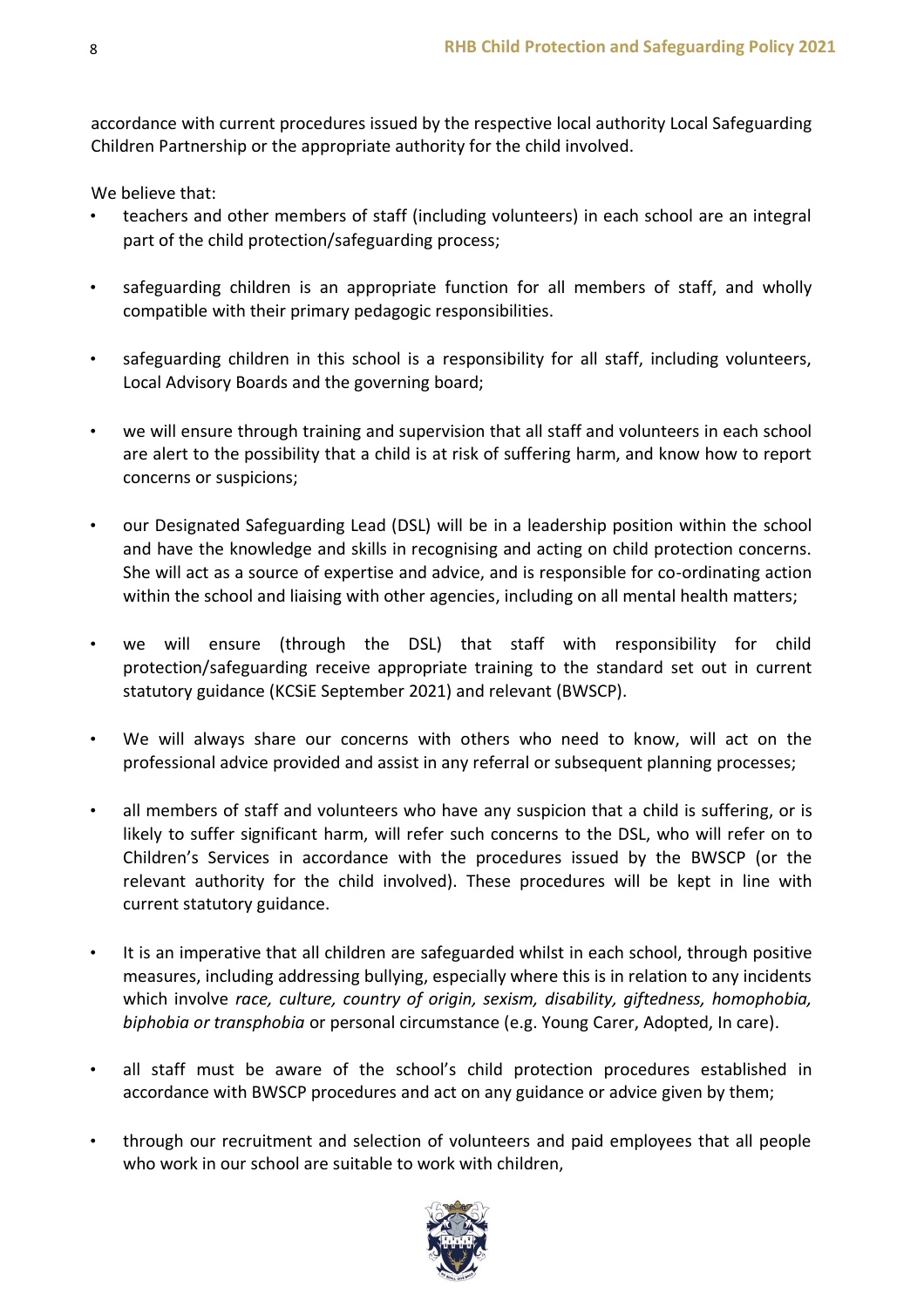accordance with current procedures issued by the respective local authority Local Safeguarding Children Partnership or the appropriate authority for the child involved.

We believe that:

- teachers and other members of staff (including volunteers) in each school are an integral part of the child protection/safeguarding process;
- safeguarding children is an appropriate function for all members of staff, and wholly compatible with their primary pedagogic responsibilities.
- safeguarding children in this school is a responsibility for all staff, including volunteers, Local Advisory Boards and the governing board;
- we will ensure through training and supervision that all staff and volunteers in each school are alert to the possibility that a child is at risk of suffering harm, and know how to report concerns or suspicions;
- our Designated Safeguarding Lead (DSL) will be in a leadership position within the school and have the knowledge and skills in recognising and acting on child protection concerns. She will act as a source of expertise and advice, and is responsible for co-ordinating action within the school and liaising with other agencies, including on all mental health matters;
- we will ensure (through the DSL) that staff with responsibility for child protection/safeguarding receive appropriate training to the standard set out in current statutory guidance (KCSiE September 2021) and relevant (BWSCP).
- We will always share our concerns with others who need to know, will act on the professional advice provided and assist in any referral or subsequent planning processes;
- all members of staff and volunteers who have any suspicion that a child is suffering, or is likely to suffer significant harm, will refer such concerns to the DSL, who will refer on to Children's Services in accordance with the procedures issued by the BWSCP (or the relevant authority for the child involved). These procedures will be kept in line with current statutory guidance.
- It is an imperative that all children are safeguarded whilst in each school, through positive measures, including addressing bullying, especially where this is in relation to any incidents which involve *race, culture, country of origin, sexism, disability, giftedness, homophobia, biphobia or transphobia* or personal circumstance (e.g. Young Carer, Adopted, In care).
- all staff must be aware of the school's child protection procedures established in accordance with BWSCP procedures and act on any guidance or advice given by them;
- through our recruitment and selection of volunteers and paid employees that all people who work in our school are suitable to work with children,

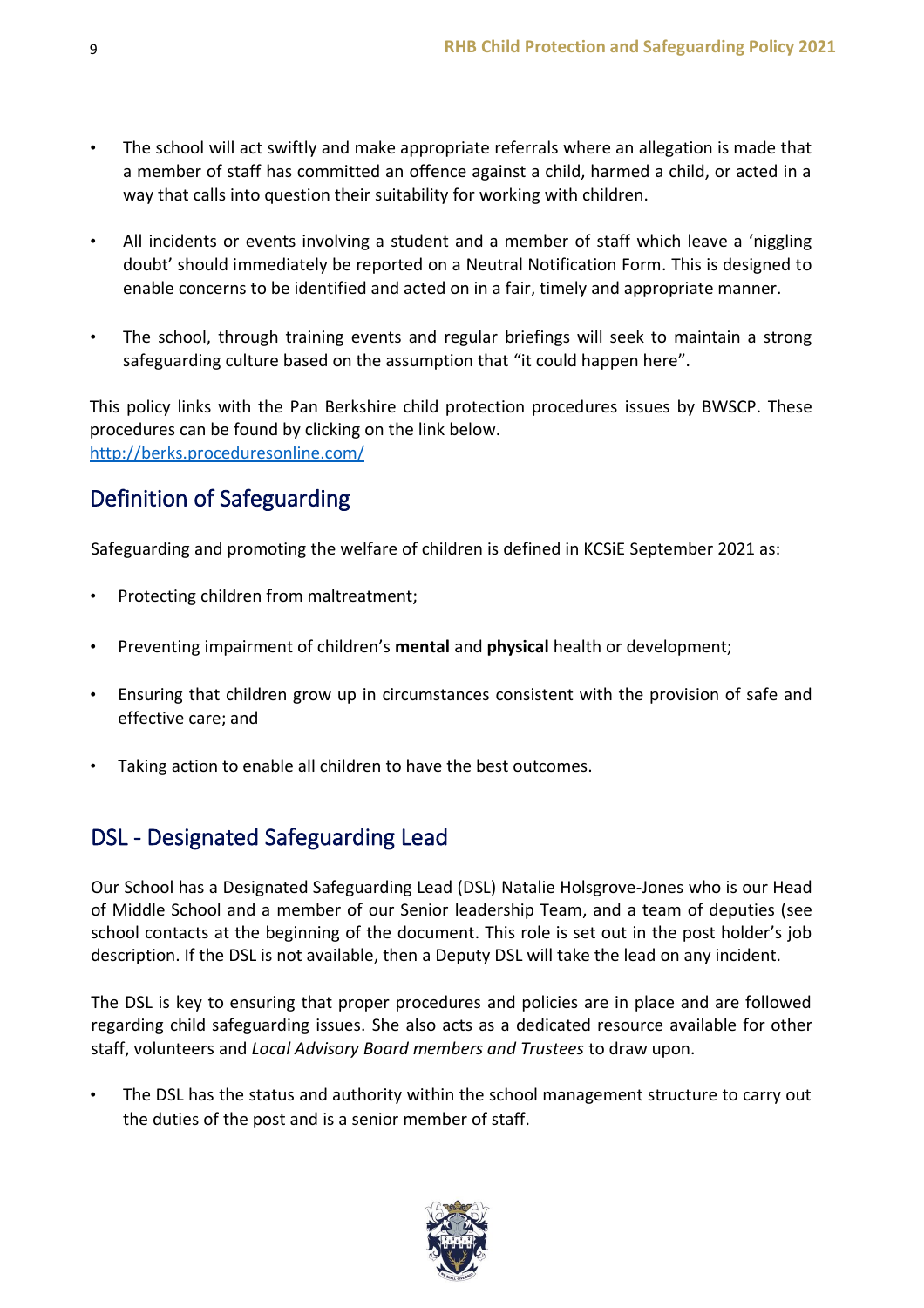- The school will act swiftly and make appropriate referrals where an allegation is made that a member of staff has committed an offence against a child, harmed a child, or acted in a way that calls into question their suitability for working with children.
- All incidents or events involving a student and a member of staff which leave a 'niggling doubt' should immediately be reported on a Neutral Notification Form. This is designed to enable concerns to be identified and acted on in a fair, timely and appropriate manner.
- The school, through training events and regular briefings will seek to maintain a strong safeguarding culture based on the assumption that "it could happen here".

This policy links with the Pan Berkshire child protection procedures issues by BWSCP. These procedures can be found by clicking on the link below. <http://berks.proceduresonline.com/>

# <span id="page-8-0"></span>Definition of Safeguarding

Safeguarding and promoting the welfare of children is defined in KCSiE September 2021 as:

- Protecting children from maltreatment;
- Preventing impairment of children's **mental** and **physical** health or development;
- Ensuring that children grow up in circumstances consistent with the provision of safe and effective care; and
- Taking action to enable all children to have the best outcomes.

# <span id="page-8-1"></span>DSL - Designated Safeguarding Lead

Our School has a Designated Safeguarding Lead (DSL) Natalie Holsgrove-Jones who is our Head of Middle School and a member of our Senior leadership Team, and a team of deputies (see school contacts at the beginning of the document. This role is set out in the post holder's job description. If the DSL is not available, then a Deputy DSL will take the lead on any incident.

The DSL is key to ensuring that proper procedures and policies are in place and are followed regarding child safeguarding issues. She also acts as a dedicated resource available for other staff, volunteers and *Local Advisory Board members and Trustees* to draw upon.

The DSL has the status and authority within the school management structure to carry out the duties of the post and is a senior member of staff.

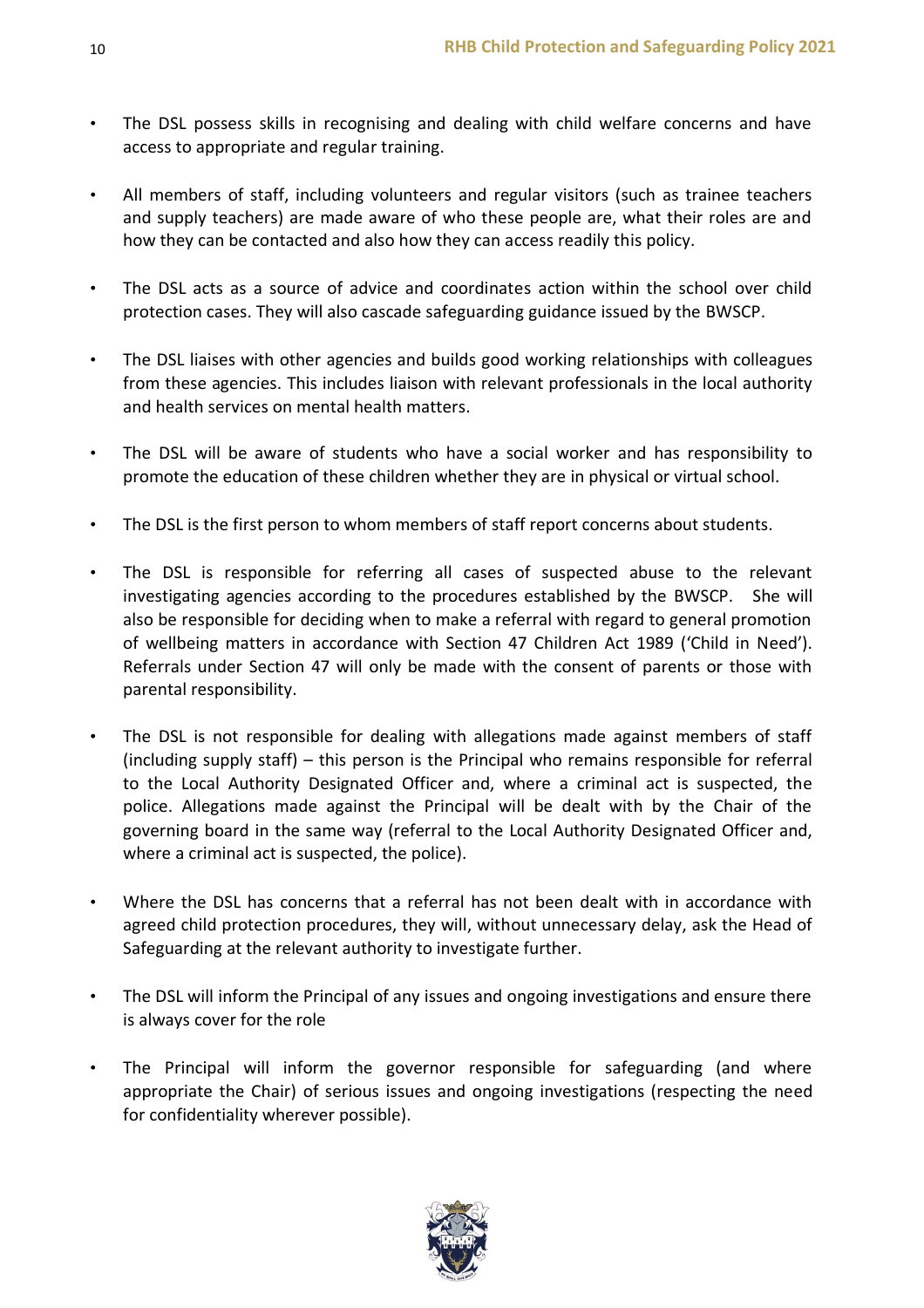- The DSL possess skills in recognising and dealing with child welfare concerns and have access to appropriate and regular training.
- All members of staff, including volunteers and regular visitors (such as trainee teachers and supply teachers) are made aware of who these people are, what their roles are and how they can be contacted and also how they can access readily this policy.
- The DSL acts as a source of advice and coordinates action within the school over child protection cases. They will also cascade safeguarding guidance issued by the BWSCP.
- The DSL liaises with other agencies and builds good working relationships with colleagues from these agencies. This includes liaison with relevant professionals in the local authority and health services on mental health matters.
- The DSL will be aware of students who have a social worker and has responsibility to promote the education of these children whether they are in physical or virtual school.
- The DSL is the first person to whom members of staff report concerns about students.
- The DSL is responsible for referring all cases of suspected abuse to the relevant investigating agencies according to the procedures established by the BWSCP. She will also be responsible for deciding when to make a referral with regard to general promotion of wellbeing matters in accordance with Section 47 Children Act 1989 ('Child in Need'). Referrals under Section 47 will only be made with the consent of parents or those with parental responsibility.
- The DSL is not responsible for dealing with allegations made against members of staff (including supply staff) – this person is the Principal who remains responsible for referral to the Local Authority Designated Officer and, where a criminal act is suspected, the police. Allegations made against the Principal will be dealt with by the Chair of the governing board in the same way (referral to the Local Authority Designated Officer and, where a criminal act is suspected, the police).
- Where the DSL has concerns that a referral has not been dealt with in accordance with agreed child protection procedures, they will, without unnecessary delay, ask the Head of Safeguarding at the relevant authority to investigate further.
- The DSL will inform the Principal of any issues and ongoing investigations and ensure there is always cover for the role
- The Principal will inform the governor responsible for safeguarding (and where appropriate the Chair) of serious issues and ongoing investigations (respecting the need for confidentiality wherever possible).

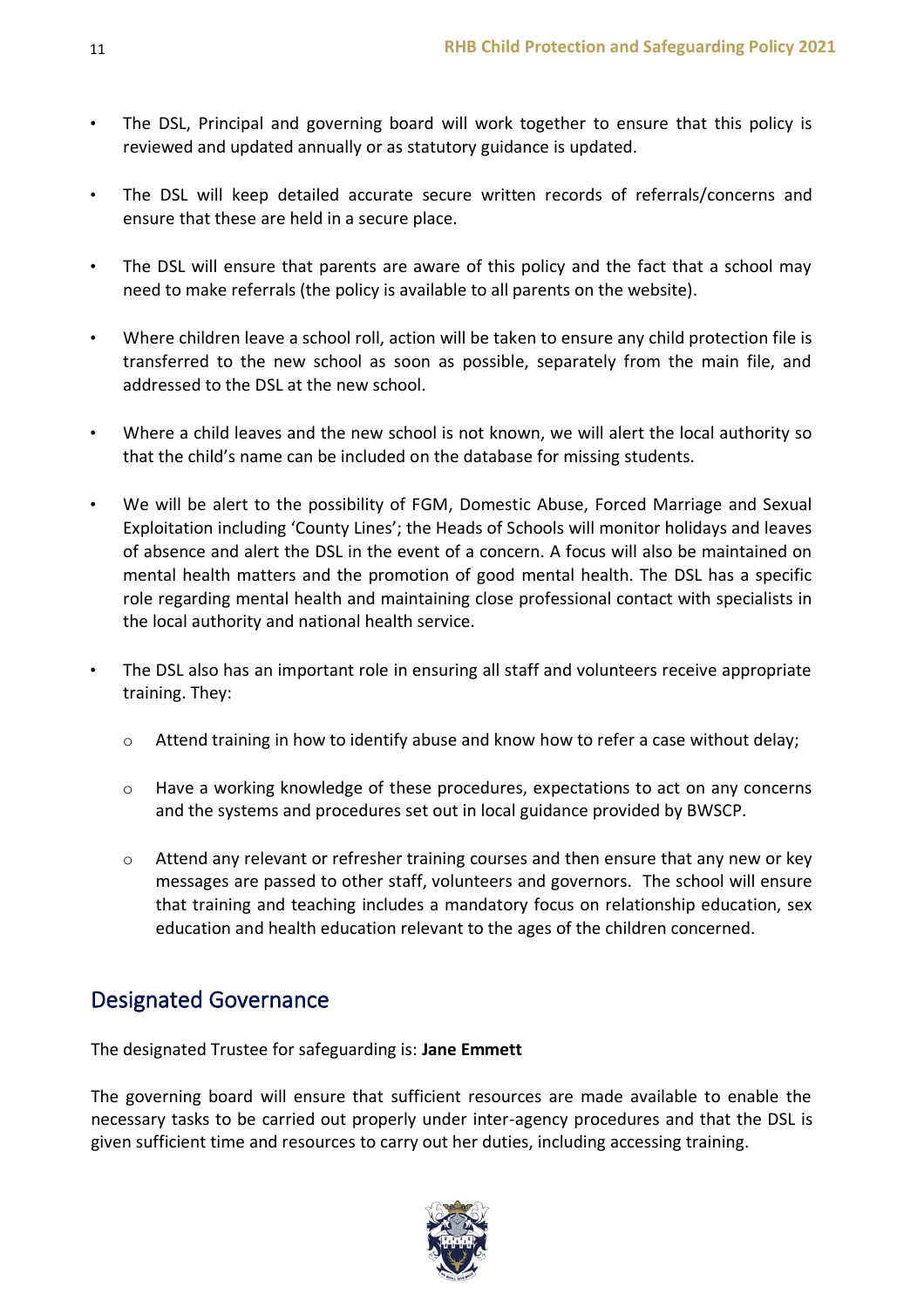- The DSL, Principal and governing board will work together to ensure that this policy is reviewed and updated annually or as statutory guidance is updated.
- The DSL will keep detailed accurate secure written records of referrals/concerns and ensure that these are held in a secure place.
- The DSL will ensure that parents are aware of this policy and the fact that a school may need to make referrals (the policy is available to all parents on the website).
- Where children leave a school roll, action will be taken to ensure any child protection file is transferred to the new school as soon as possible, separately from the main file, and addressed to the DSL at the new school.
- Where a child leaves and the new school is not known, we will alert the local authority so that the child's name can be included on the database for missing students.
- We will be alert to the possibility of FGM, Domestic Abuse, Forced Marriage and Sexual Exploitation including 'County Lines'; the Heads of Schools will monitor holidays and leaves of absence and alert the DSL in the event of a concern. A focus will also be maintained on mental health matters and the promotion of good mental health. The DSL has a specific role regarding mental health and maintaining close professional contact with specialists in the local authority and national health service.
- The DSL also has an important role in ensuring all staff and volunteers receive appropriate training. They:
	- $\circ$  Attend training in how to identify abuse and know how to refer a case without delay:
	- o Have a working knowledge of these procedures, expectations to act on any concerns and the systems and procedures set out in local guidance provided by BWSCP.
	- $\circ$  Attend any relevant or refresher training courses and then ensure that any new or key messages are passed to other staff, volunteers and governors. The school will ensure that training and teaching includes a mandatory focus on relationship education, sex education and health education relevant to the ages of the children concerned.

# <span id="page-10-0"></span>Designated Governance

The designated Trustee for safeguarding is: **Jane Emmett**

The governing board will ensure that sufficient resources are made available to enable the necessary tasks to be carried out properly under inter-agency procedures and that the DSL is given sufficient time and resources to carry out her duties, including accessing training.

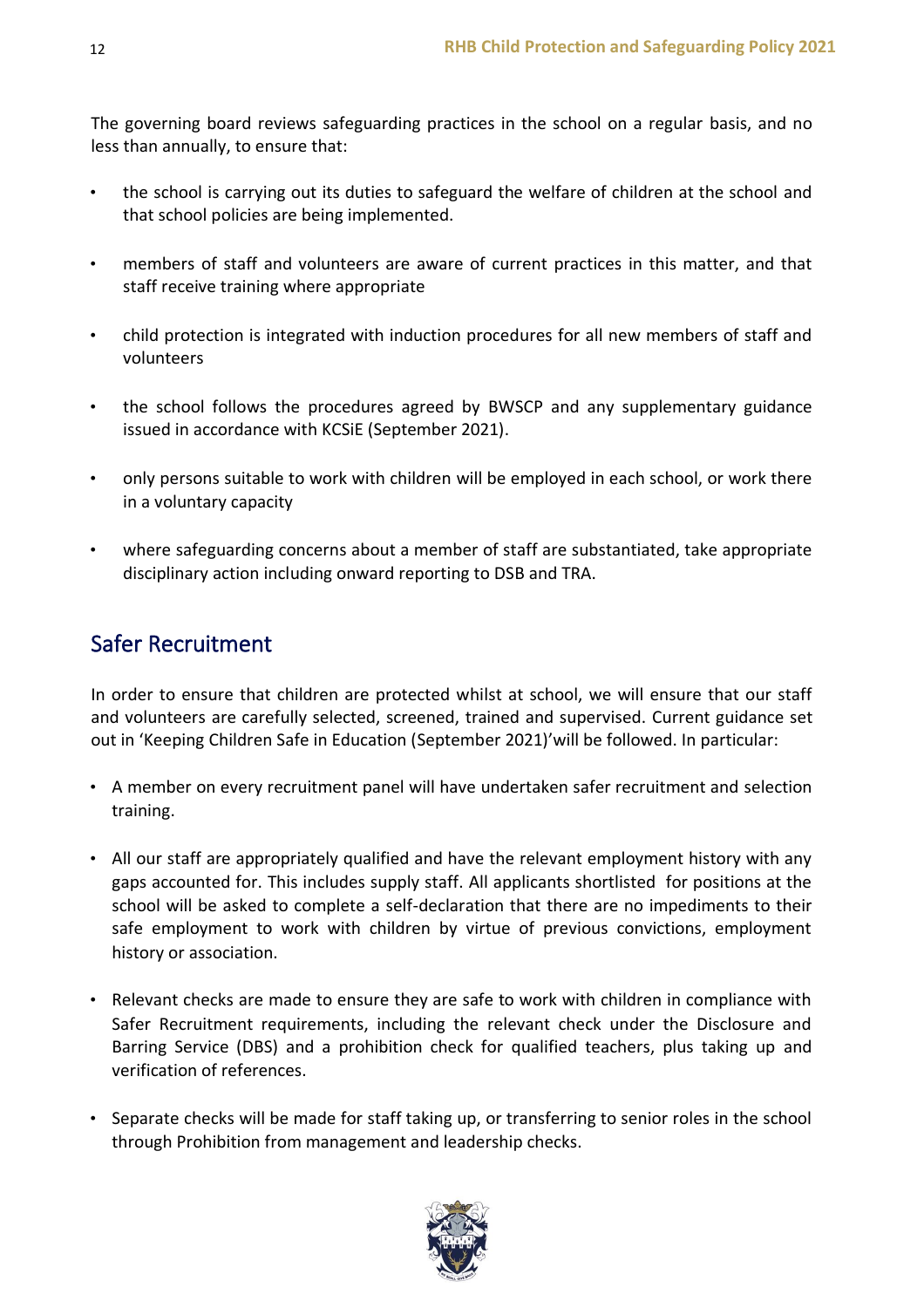The governing board reviews safeguarding practices in the school on a regular basis, and no less than annually, to ensure that:

- the school is carrying out its duties to safeguard the welfare of children at the school and that school policies are being implemented.
- members of staff and volunteers are aware of current practices in this matter, and that staff receive training where appropriate
- child protection is integrated with induction procedures for all new members of staff and volunteers
- the school follows the procedures agreed by BWSCP and any supplementary guidance issued in accordance with KCSiE (September 2021).
- only persons suitable to work with children will be employed in each school, or work there in a voluntary capacity
- where safeguarding concerns about a member of staff are substantiated, take appropriate disciplinary action including onward reporting to DSB and TRA.

# <span id="page-11-0"></span>Safer Recruitment

In order to ensure that children are protected whilst at school, we will ensure that our staff and volunteers are carefully selected, screened, trained and supervised. Current guidance set out in 'Keeping Children Safe in Education (September 2021)'will be followed. In particular:

- A member on every recruitment panel will have undertaken safer recruitment and selection training.
- All our staff are appropriately qualified and have the relevant employment history with any gaps accounted for. This includes supply staff. All applicants shortlisted for positions at the school will be asked to complete a self-declaration that there are no impediments to their safe employment to work with children by virtue of previous convictions, employment history or association.
- Relevant checks are made to ensure they are safe to work with children in compliance with Safer Recruitment requirements, including the relevant check under the Disclosure and Barring Service (DBS) and a prohibition check for qualified teachers, plus taking up and verification of references.
- Separate checks will be made for staff taking up, or transferring to senior roles in the school through Prohibition from management and leadership checks.

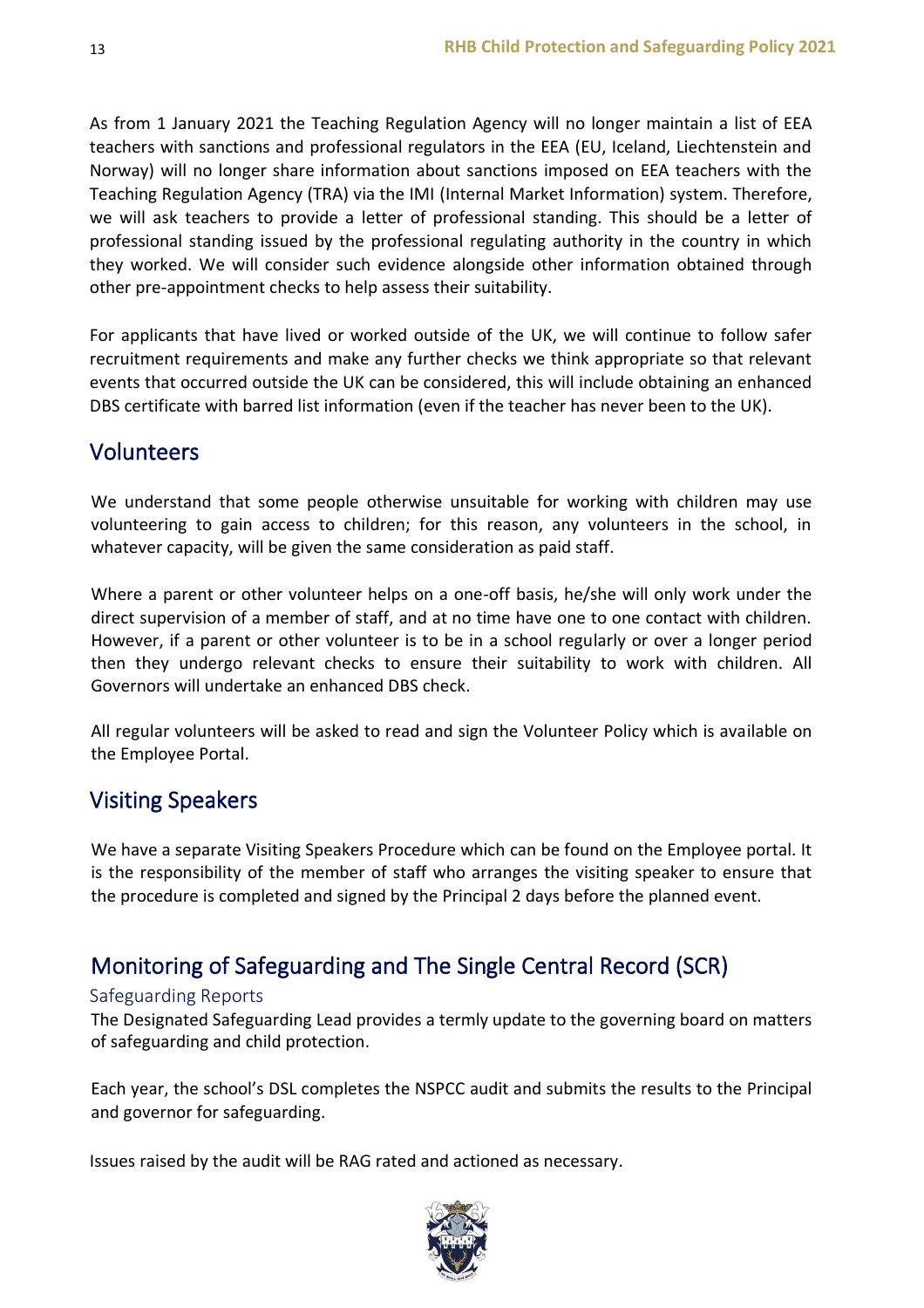As from 1 January 2021 the Teaching Regulation Agency will no longer maintain a list of EEA teachers with sanctions and professional regulators in the EEA (EU, Iceland, Liechtenstein and Norway) will no longer share information about sanctions imposed on EEA teachers with the Teaching Regulation Agency (TRA) via the IMI (Internal Market Information) system. Therefore, we will ask teachers to provide a letter of professional standing. This should be a letter of professional standing issued by the professional regulating authority in the country in which they worked. We will consider such evidence alongside other information obtained through other pre-appointment checks to help assess their suitability.

For applicants that have lived or worked outside of the UK, we will continue to follow safer recruitment requirements and make any further checks we think appropriate so that relevant events that occurred outside the UK can be considered, this will include obtaining an enhanced DBS certificate with barred list information (even if the teacher has never been to the UK).

### <span id="page-12-0"></span>Volunteers

We understand that some people otherwise unsuitable for working with children may use volunteering to gain access to children; for this reason, any volunteers in the school, in whatever capacity, will be given the same consideration as paid staff.

Where a parent or other volunteer helps on a one-off basis, he/she will only work under the direct supervision of a member of staff, and at no time have one to one contact with children. However, if a parent or other volunteer is to be in a school regularly or over a longer period then they undergo relevant checks to ensure their suitability to work with children. All Governors will undertake an enhanced DBS check.

All regular volunteers will be asked to read and sign the Volunteer Policy which is available on the Employee Portal.

### <span id="page-12-1"></span>Visiting Speakers

We have a separate Visiting Speakers Procedure which can be found on the Employee portal. It is the responsibility of the member of staff who arranges the visiting speaker to ensure that the procedure is completed and signed by the Principal 2 days before the planned event.

# <span id="page-12-2"></span>Monitoring of Safeguarding and The Single Central Record (SCR)

#### <span id="page-12-3"></span>Safeguarding Reports

The Designated Safeguarding Lead provides a termly update to the governing board on matters of safeguarding and child protection.

Each year, the school's DSL completes the NSPCC audit and submits the results to the Principal and governor for safeguarding.

Issues raised by the audit will be RAG rated and actioned as necessary.

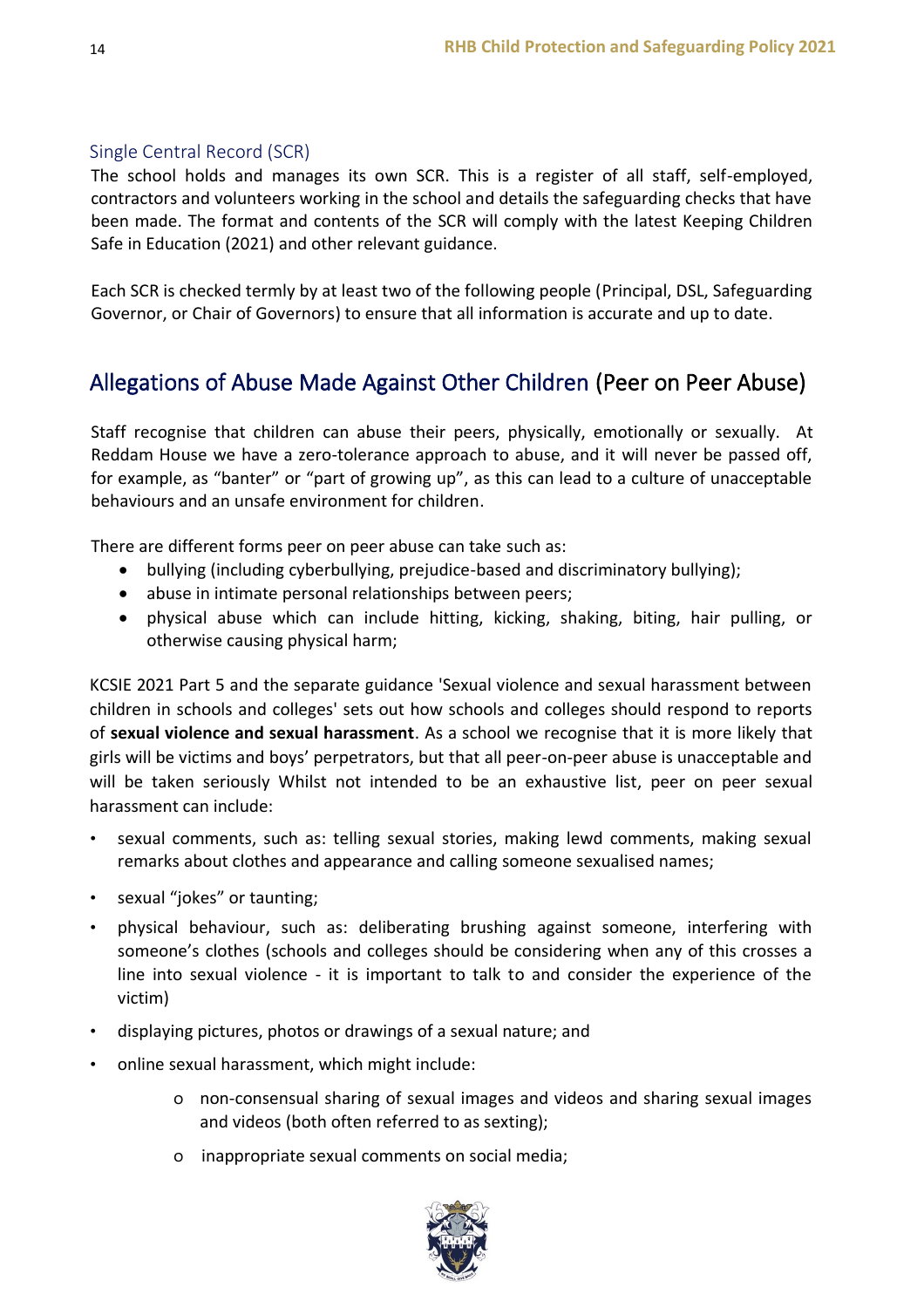#### <span id="page-13-0"></span>Single Central Record (SCR)

The school holds and manages its own SCR. This is a register of all staff, self-employed, contractors and volunteers working in the school and details the safeguarding checks that have been made. The format and contents of the SCR will comply with the latest Keeping Children Safe in Education (2021) and other relevant guidance.

Each SCR is checked termly by at least two of the following people (Principal, DSL, Safeguarding Governor, or Chair of Governors) to ensure that all information is accurate and up to date.

# <span id="page-13-1"></span>Allegations of Abuse Made Against Other Children (Peer on Peer Abuse)

Staff recognise that children can abuse their peers, physically, emotionally or sexually. At Reddam House we have a zero-tolerance approach to abuse, and it will never be passed off, for example, as "banter" or "part of growing up", as this can lead to a culture of unacceptable behaviours and an unsafe environment for children.

There are different forms peer on peer abuse can take such as:

- bullying (including cyberbullying, prejudice-based and discriminatory bullying);
- abuse in intimate personal relationships between peers;
- physical abuse which can include hitting, kicking, shaking, biting, hair pulling, or otherwise causing physical harm;

KCSIE 2021 Part 5 and the separate guidance 'Sexual violence and sexual harassment between children in schools and colleges' sets out how schools and colleges should respond to reports of **sexual violence and sexual harassment**. As a school we recognise that it is more likely that girls will be victims and boys' perpetrators, but that all peer-on-peer abuse is unacceptable and will be taken seriously Whilst not intended to be an exhaustive list, peer on peer sexual harassment can include:

- sexual comments, such as: telling sexual stories, making lewd comments, making sexual remarks about clothes and appearance and calling someone sexualised names;
- sexual "jokes" or taunting;
- physical behaviour, such as: deliberating brushing against someone, interfering with someone's clothes (schools and colleges should be considering when any of this crosses a line into sexual violence - it is important to talk to and consider the experience of the victim)
- displaying pictures, photos or drawings of a sexual nature; and
- online sexual harassment, which might include:
	- o non-consensual sharing of sexual images and videos and sharing sexual images and videos (both often referred to as sexting);
	- o inappropriate sexual comments on social media;

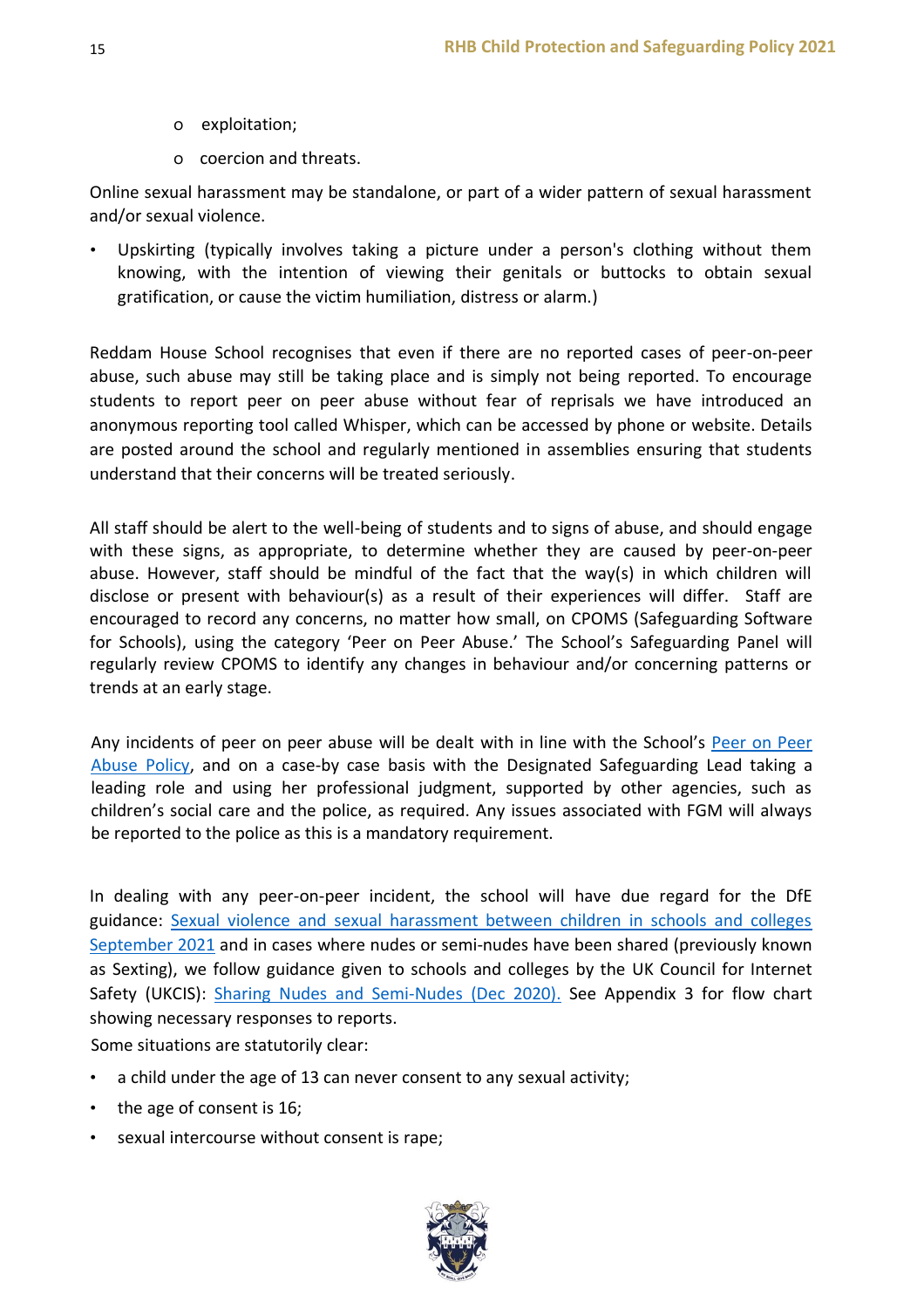- o exploitation;
- o coercion and threats.

Online sexual harassment may be standalone, or part of a wider pattern of sexual harassment and/or sexual violence.

• Upskirting (typically involves taking a picture under a person's clothing without them knowing, with the intention of viewing their genitals or buttocks to obtain sexual gratification, or cause the victim humiliation, distress or alarm.)

Reddam House School recognises that even if there are no reported cases of peer-on-peer abuse, such abuse may still be taking place and is simply not being reported. To encourage students to report peer on peer abuse without fear of reprisals we have introduced an anonymous reporting tool called Whisper, which can be accessed by phone or website. Details are posted around the school and regularly mentioned in assemblies ensuring that students understand that their concerns will be treated seriously.

All staff should be alert to the well-being of students and to signs of abuse, and should engage with these signs, as appropriate, to determine whether they are caused by peer-on-peer abuse. However, staff should be mindful of the fact that the way(s) in which children will disclose or present with behaviour(s) as a result of their experiences will differ. Staff are encouraged to record any concerns, no matter how small, on CPOMS (Safeguarding Software for Schools), using the category 'Peer on Peer Abuse.' The School's Safeguarding Panel will regularly review CPOMS to identify any changes in behaviour and/or concerning patterns or trends at an early stage.

Any incidents of peer on peer abuse will be dealt with in line with the School's Peer on Peer [Abuse Policy,](https://reddamhouse.sharepoint.com/:w:/s/EmployeePortal/EUW-a_JJkolHpCq8vSEtuK0BBiT_uIl0gUETtCNOT0ElPQ) and on a case-by case basis with the Designated Safeguarding Lead taking a leading role and using her professional judgment, supported by other agencies, such as children's social care and the police, as required. Any issues associated with FGM will always be reported to the police as this is a mandatory requirement.

In dealing with any peer-on-peer incident, the school will have due regard for the DfE guidance: [Sexual violence and sexual harassment between children in schools and colleges](https://assets.publishing.service.gov.uk/government/uploads/system/uploads/attachment_data/file/999239/SVSH_2021.pdf)  [September 2021](https://assets.publishing.service.gov.uk/government/uploads/system/uploads/attachment_data/file/999239/SVSH_2021.pdf) and in cases where nudes or semi-nudes have been shared (previously known as Sexting), we follow guidance given to schools and colleges by the UK Council for Internet Safety (UKCIS): [Sharing Nudes and Semi-Nudes \(Dec 2020\).](https://www.gov.uk/government/publications/sharing-nudes-and-semi-nudes-advice-for-education-settings-working-with-children-and-young-people) See Appendix 3 for flow chart showing necessary responses to reports.

Some situations are statutorily clear:

- a child under the age of 13 can never consent to any sexual activity;
- the age of consent is 16;
- sexual intercourse without consent is rape;

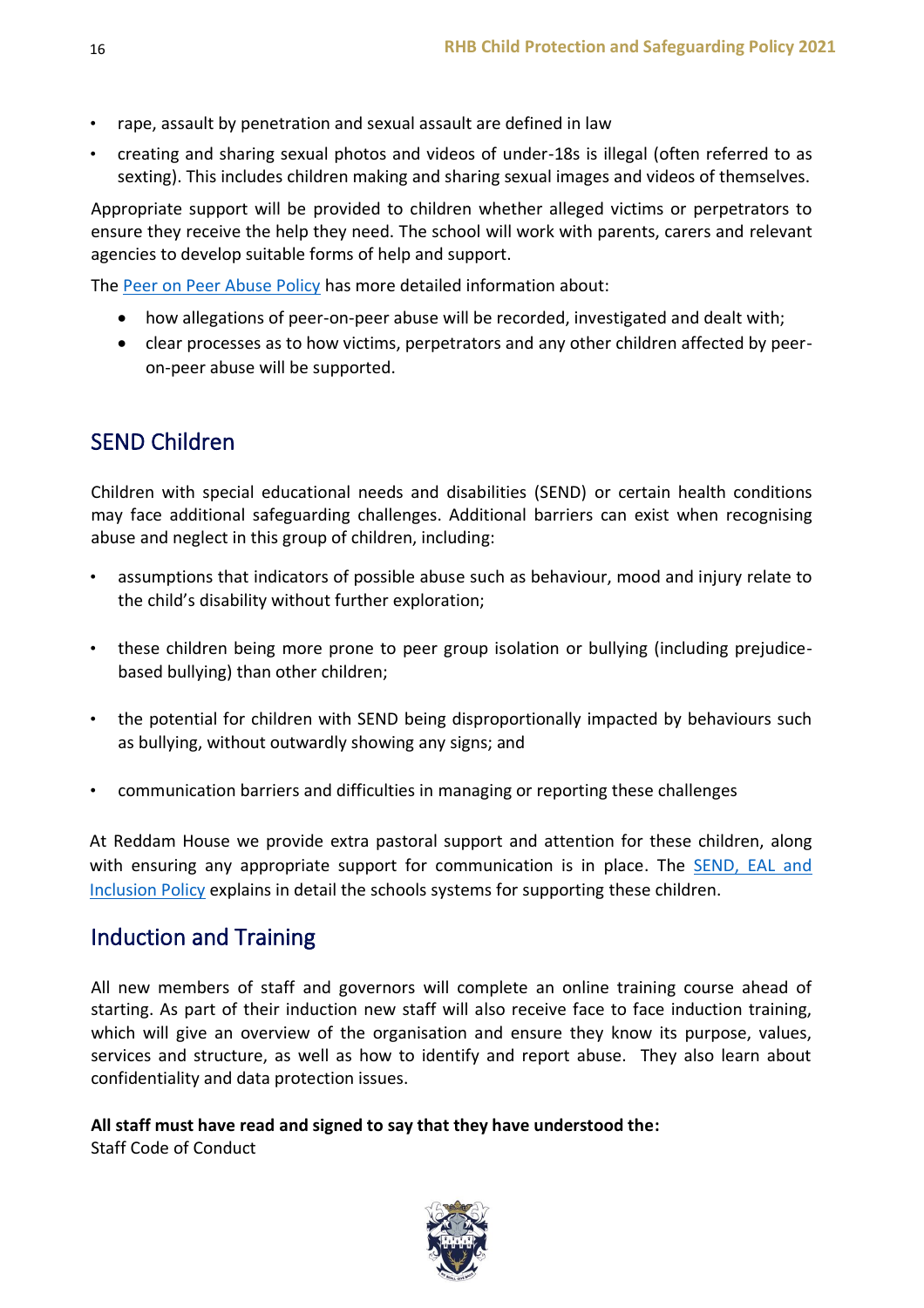- rape, assault by penetration and sexual assault are defined in law
- creating and sharing sexual photos and videos of under-18s is illegal (often referred to as sexting). This includes children making and sharing sexual images and videos of themselves.

Appropriate support will be provided to children whether alleged victims or perpetrators to ensure they receive the help they need. The school will work with parents, carers and relevant agencies to develop suitable forms of help and support.

The [Peer on Peer Abuse Policy](https://reddamhouse.sharepoint.com/:w:/s/EmployeePortal/EUW-a_JJkolHpCq8vSEtuK0BBiT_uIl0gUETtCNOT0ElPQ) has more detailed information about:

- how allegations of peer-on-peer abuse will be recorded, investigated and dealt with;
- clear processes as to how victims, perpetrators and any other children affected by peeron-peer abuse will be supported.

# <span id="page-15-0"></span>SEND Children

Children with special educational needs and disabilities (SEND) or certain health conditions may face additional safeguarding challenges. Additional barriers can exist when recognising abuse and neglect in this group of children, including:

- assumptions that indicators of possible abuse such as behaviour, mood and injury relate to the child's disability without further exploration;
- these children being more prone to peer group isolation or bullying (including prejudicebased bullying) than other children;
- the potential for children with SEND being disproportionally impacted by behaviours such as bullying, without outwardly showing any signs; and
- communication barriers and difficulties in managing or reporting these challenges

At Reddam House we provide extra pastoral support and attention for these children, along with ensuring any appropriate support for communication is in place. The [SEND, EAL and](https://reddamhouse.sharepoint.com/:w:/s/EmployeePortal/Edk2ppljuelFrixccgUwpRQB_LzyZ0otBH4tmlWznoPZmw?e=1r6fel)  [Inclusion](https://reddamhouse.sharepoint.com/:w:/s/EmployeePortal/Edk2ppljuelFrixccgUwpRQB_LzyZ0otBH4tmlWznoPZmw?e=1r6fel) Policy explains in detail the schools systems for supporting these children.

# <span id="page-15-1"></span>Induction and Training

All new members of staff and governors will complete an online training course ahead of starting. As part of their induction new staff will also receive face to face induction training, which will give an overview of the organisation and ensure they know its purpose, values, services and structure, as well as how to identify and report abuse. They also learn about confidentiality and data protection issues.

#### **All staff must have read and signed to say that they have understood the:**

Staff Code of Conduct

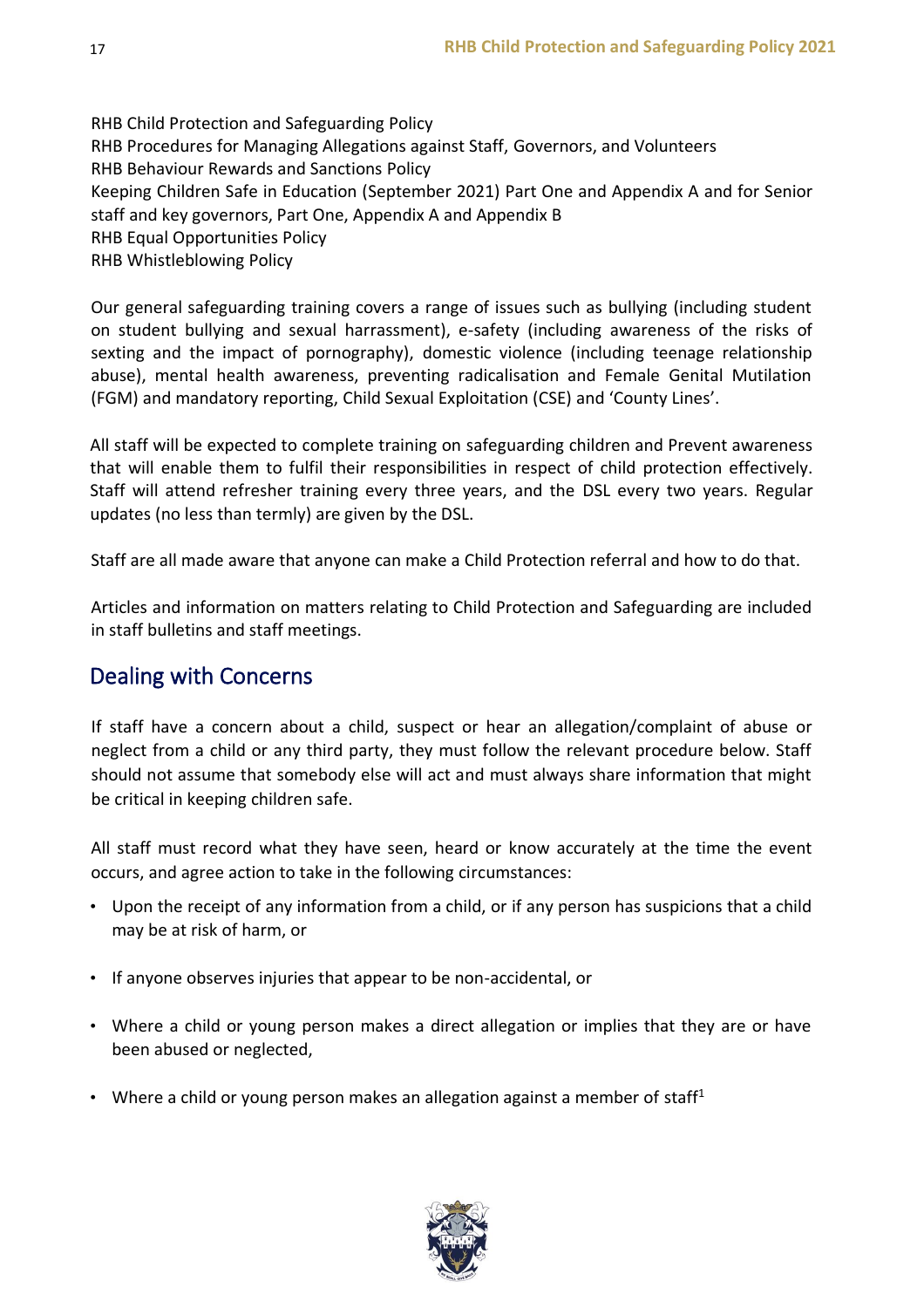RHB Child Protection and Safeguarding Policy RHB Procedures for Managing Allegations against Staff, Governors, and Volunteers RHB Behaviour Rewards and Sanctions Policy Keeping Children Safe in Education (September 2021) Part One and Appendix A and for Senior staff and key governors, Part One, Appendix A and Appendix B RHB Equal Opportunities Policy RHB Whistleblowing Policy

Our general safeguarding training covers a range of issues such as bullying (including student on student bullying and sexual harrassment), e-safety (including awareness of the risks of sexting and the impact of pornography), domestic violence (including teenage relationship abuse), mental health awareness, preventing radicalisation and Female Genital Mutilation (FGM) and mandatory reporting, Child Sexual Exploitation (CSE) and 'County Lines'.

All staff will be expected to complete training on safeguarding children and Prevent awareness that will enable them to fulfil their responsibilities in respect of child protection effectively. Staff will attend refresher training every three years, and the DSL every two years. Regular updates (no less than termly) are given by the DSL.

Staff are all made aware that anyone can make a Child Protection referral and how to do that.

Articles and information on matters relating to Child Protection and Safeguarding are included in staff bulletins and staff meetings.

#### <span id="page-16-0"></span>Dealing with Concerns

If staff have a concern about a child, suspect or hear an allegation/complaint of abuse or neglect from a child or any third party, they must follow the relevant procedure below. Staff should not assume that somebody else will act and must always share information that might be critical in keeping children safe.

All staff must record what they have seen, heard or know accurately at the time the event occurs, and agree action to take in the following circumstances:

- Upon the receipt of any information from a child, or if any person has suspicions that a child may be at risk of harm, or
- If anyone observes injuries that appear to be non-accidental, or
- Where a child or young person makes a direct allegation or implies that they are or have been abused or neglected,
- Where a child or young person makes an allegation against a member of staff<sup>1</sup>

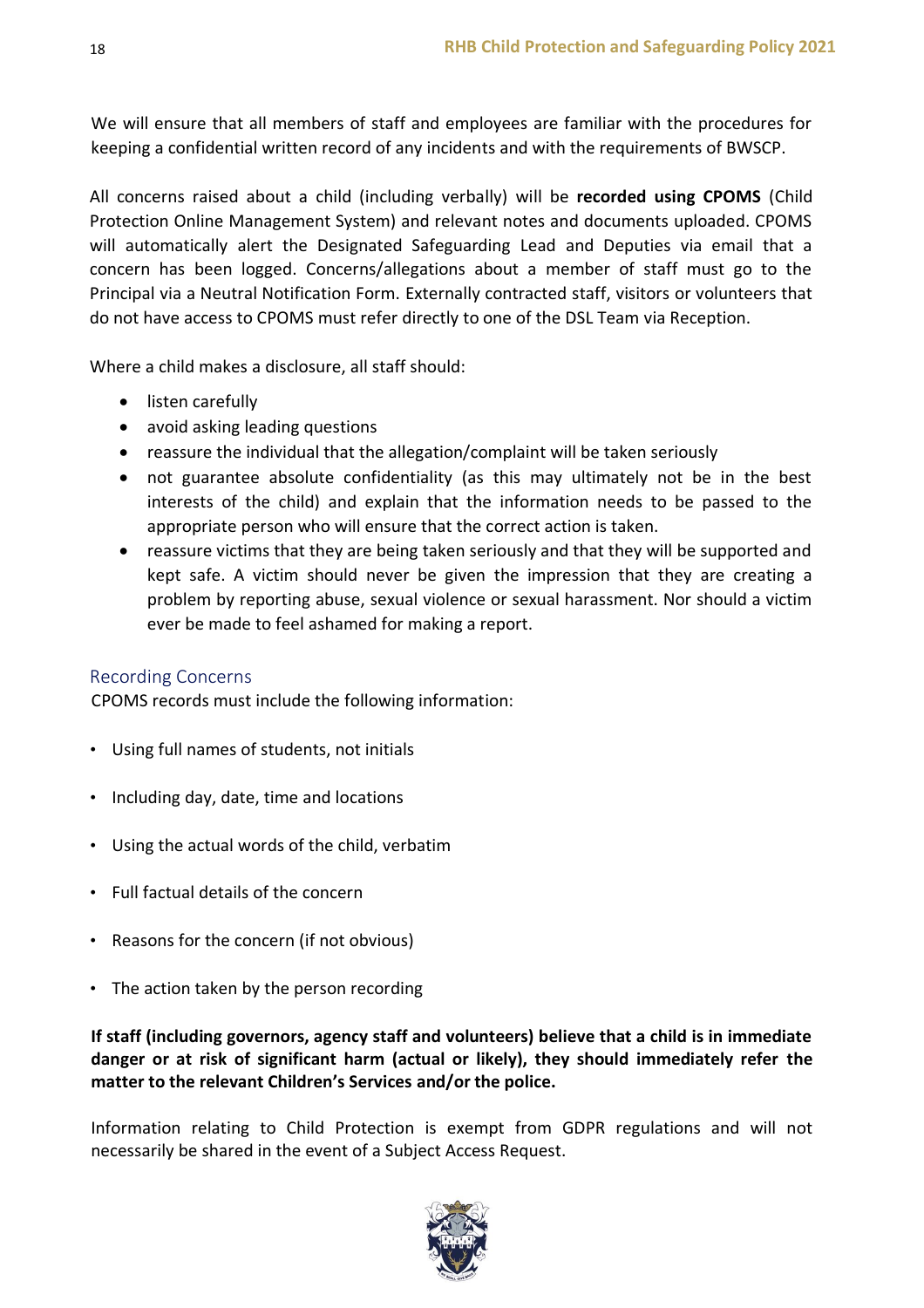We will ensure that all members of staff and employees are familiar with the procedures for keeping a confidential written record of any incidents and with the requirements of BWSCP.

All concerns raised about a child (including verbally) will be **recorded using CPOMS** (Child Protection Online Management System) and relevant notes and documents uploaded. CPOMS will automatically alert the Designated Safeguarding Lead and Deputies via email that a concern has been logged. Concerns/allegations about a member of staff must go to the Principal via a Neutral Notification Form. Externally contracted staff, visitors or volunteers that do not have access to CPOMS must refer directly to one of the DSL Team via Reception.

Where a child makes a disclosure, all staff should:

- listen carefully
- avoid asking leading questions
- reassure the individual that the allegation/complaint will be taken seriously
- not guarantee absolute confidentiality (as this may ultimately not be in the best interests of the child) and explain that the information needs to be passed to the appropriate person who will ensure that the correct action is taken.
- reassure victims that they are being taken seriously and that they will be supported and kept safe. A victim should never be given the impression that they are creating a problem by reporting abuse, sexual violence or sexual harassment. Nor should a victim ever be made to feel ashamed for making a report.

#### <span id="page-17-0"></span>Recording Concerns

CPOMS records must include the following information:

- Using full names of students, not initials
- Including day, date, time and locations
- Using the actual words of the child, verbatim
- Full factual details of the concern
- Reasons for the concern (if not obvious)
- The action taken by the person recording

**If staff (including governors, agency staff and volunteers) believe that a child is in immediate danger or at risk of significant harm (actual or likely), they should immediately refer the matter to the relevant Children's Services and/or the police.** 

Information relating to Child Protection is exempt from GDPR regulations and will not necessarily be shared in the event of a Subject Access Request.

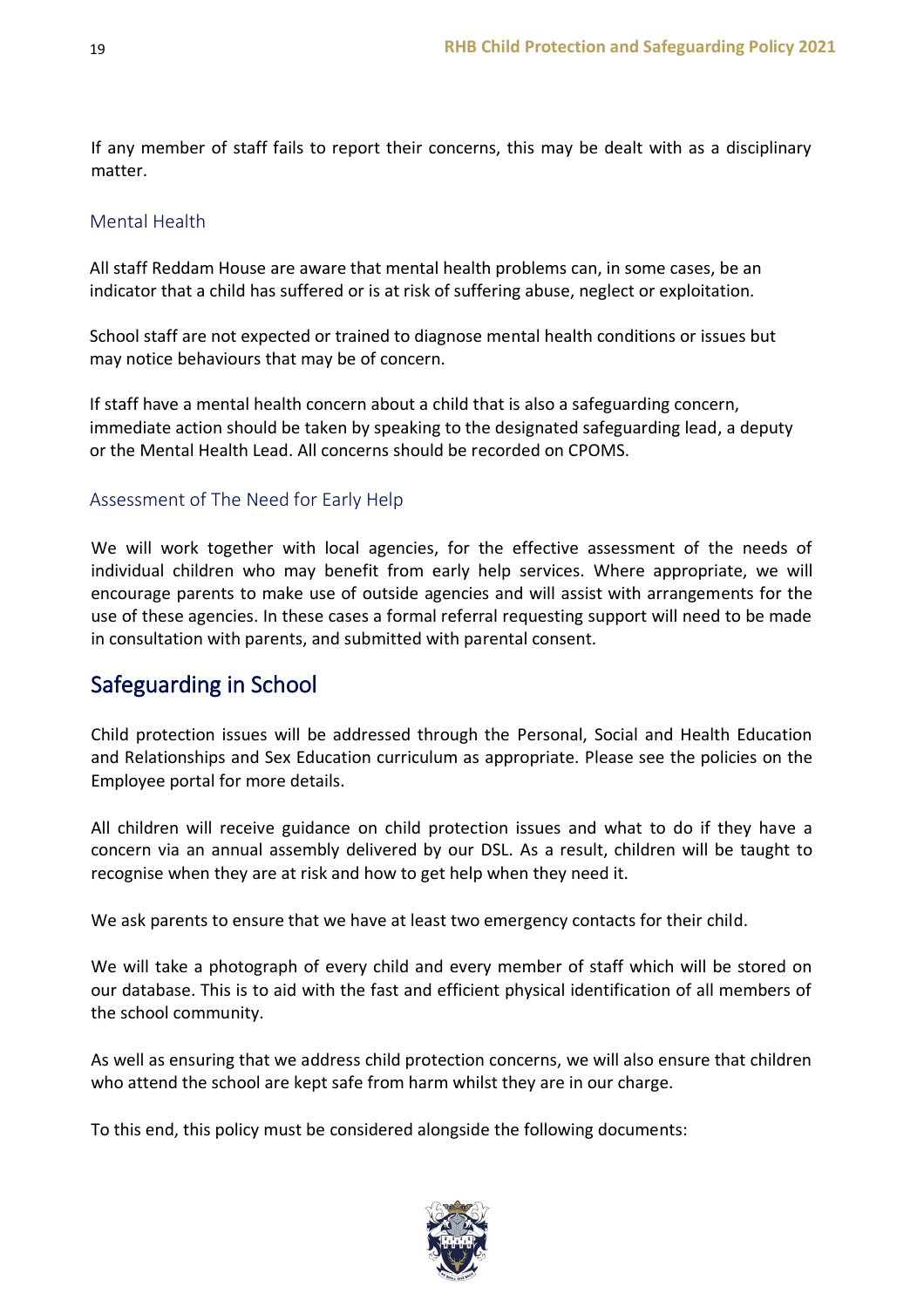If any member of staff fails to report their concerns, this may be dealt with as a disciplinary matter.

#### <span id="page-18-0"></span>Mental Health

All staff Reddam House are aware that mental health problems can, in some cases, be an indicator that a child has suffered or is at risk of suffering abuse, neglect or exploitation.

School staff are not expected or trained to diagnose mental health conditions or issues but may notice behaviours that may be of concern.

If staff have a mental health concern about a child that is also a safeguarding concern, immediate action should be taken by speaking to the designated safeguarding lead, a deputy or the Mental Health Lead. All concerns should be recorded on CPOMS.

#### <span id="page-18-1"></span>Assessment of The Need for Early Help

We will work together with local agencies, for the effective assessment of the needs of individual children who may benefit from early help services. Where appropriate, we will encourage parents to make use of outside agencies and will assist with arrangements for the use of these agencies. In these cases a formal referral requesting support will need to be made in consultation with parents, and submitted with parental consent.

# <span id="page-18-2"></span>Safeguarding in School

Child protection issues will be addressed through the Personal, Social and Health Education and Relationships and Sex Education curriculum as appropriate. Please see the policies on the Employee portal for more details.

All children will receive guidance on child protection issues and what to do if they have a concern via an annual assembly delivered by our DSL. As a result, children will be taught to recognise when they are at risk and how to get help when they need it.

We ask parents to ensure that we have at least two emergency contacts for their child.

We will take a photograph of every child and every member of staff which will be stored on our database. This is to aid with the fast and efficient physical identification of all members of the school community.

As well as ensuring that we address child protection concerns, we will also ensure that children who attend the school are kept safe from harm whilst they are in our charge.

To this end, this policy must be considered alongside the following documents:

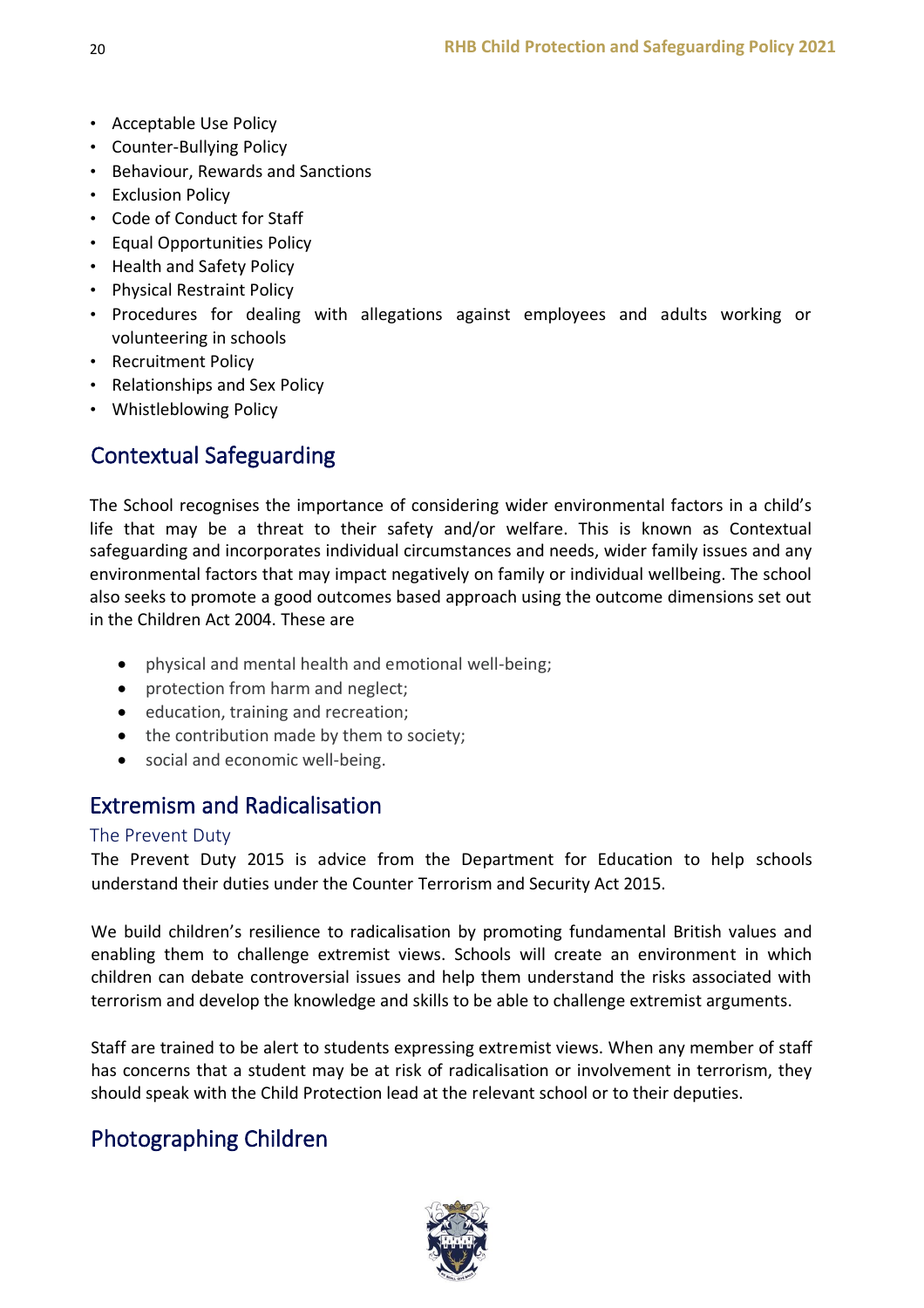- Acceptable Use Policy
- Counter-Bullying Policy
- Behaviour, Rewards and Sanctions
- Exclusion Policy
- Code of Conduct for Staff
- Equal Opportunities Policy
- Health and Safety Policy
- Physical Restraint Policy
- Procedures for dealing with allegations against employees and adults working or volunteering in schools
- Recruitment Policy
- Relationships and Sex Policy
- <span id="page-19-0"></span>• Whistleblowing Policy

# Contextual Safeguarding

The School recognises the importance of considering wider environmental factors in a child's life that may be a threat to their safety and/or welfare. This is known as Contextual safeguarding and incorporates individual circumstances and needs, wider family issues and any environmental factors that may impact negatively on family or individual wellbeing. The school also seeks to promote a good outcomes based approach using the outcome dimensions set out in the Children Act 2004. These are

- physical and mental health and emotional well-being;
- protection from harm and neglect;
- education, training and recreation;
- the contribution made by them to society;
- social and economic well-being.

# <span id="page-19-1"></span>Extremism and Radicalisation

#### <span id="page-19-2"></span>The Prevent Duty

The Prevent Duty 2015 is advice from the Department for Education to help schools understand their duties under the Counter Terrorism and Security Act 2015.

We build children's resilience to radicalisation by promoting fundamental British values and enabling them to challenge extremist views. Schools will create an environment in which children can debate controversial issues and help them understand the risks associated with terrorism and develop the knowledge and skills to be able to challenge extremist arguments.

Staff are trained to be alert to students expressing extremist views. When any member of staff has concerns that a student may be at risk of radicalisation or involvement in terrorism, they should speak with the Child Protection lead at the relevant school or to their deputies.

# <span id="page-19-3"></span>Photographing Children

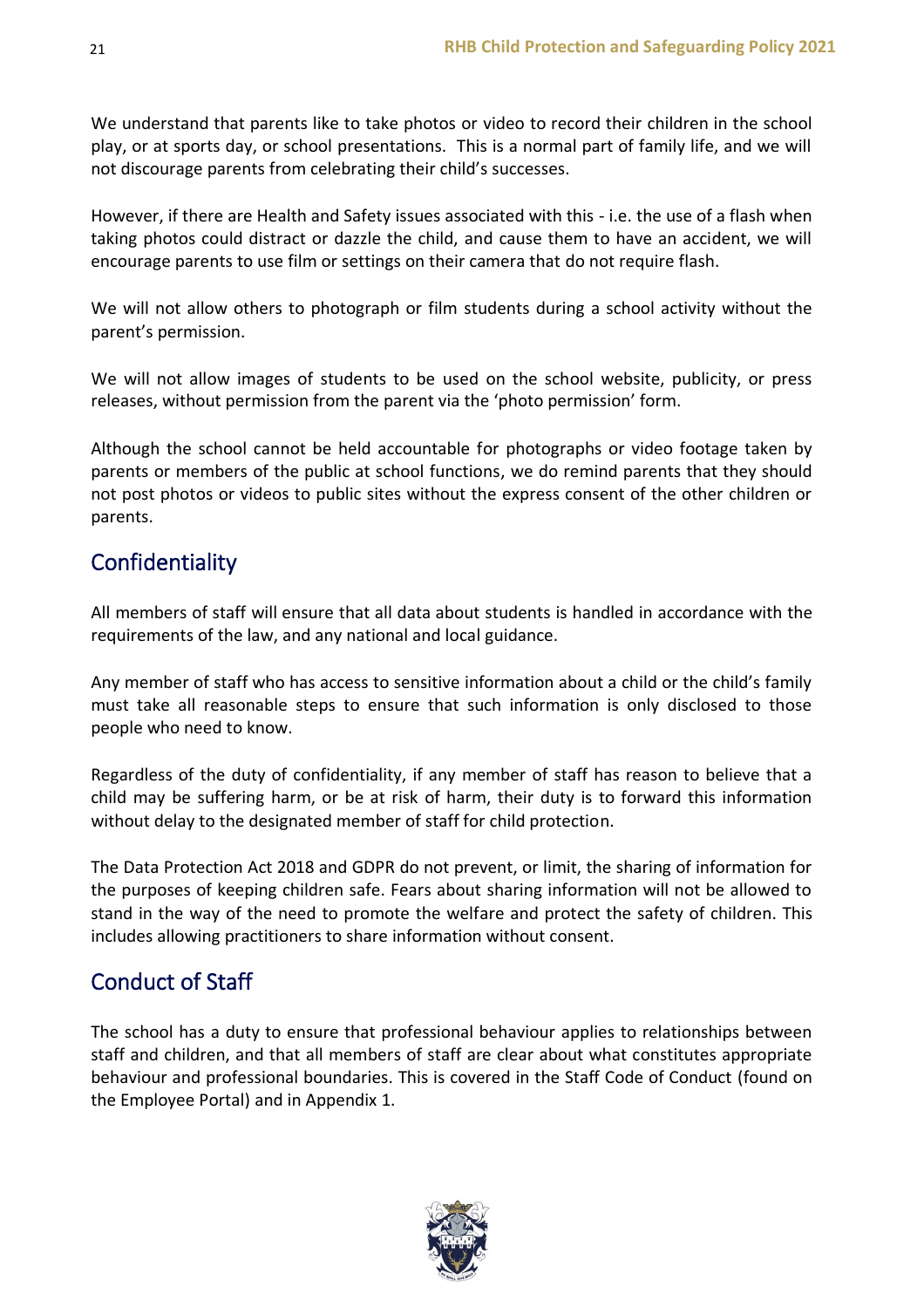We understand that parents like to take photos or video to record their children in the school play, or at sports day, or school presentations. This is a normal part of family life, and we will not discourage parents from celebrating their child's successes.

However, if there are Health and Safety issues associated with this - i.e. the use of a flash when taking photos could distract or dazzle the child, and cause them to have an accident, we will encourage parents to use film or settings on their camera that do not require flash.

We will not allow others to photograph or film students during a school activity without the parent's permission.

We will not allow images of students to be used on the school website, publicity, or press releases, without permission from the parent via the 'photo permission' form.

Although the school cannot be held accountable for photographs or video footage taken by parents or members of the public at school functions, we do remind parents that they should not post photos or videos to public sites without the express consent of the other children or parents.

### <span id="page-20-0"></span>**Confidentiality**

All members of staff will ensure that all data about students is handled in accordance with the requirements of the law, and any national and local guidance.

Any member of staff who has access to sensitive information about a child or the child's family must take all reasonable steps to ensure that such information is only disclosed to those people who need to know.

Regardless of the duty of confidentiality, if any member of staff has reason to believe that a child may be suffering harm, or be at risk of harm, their duty is to forward this information without delay to the designated member of staff for child protection.

The Data Protection Act 2018 and GDPR do not prevent, or limit, the sharing of information for the purposes of keeping children safe. Fears about sharing information will not be allowed to stand in the way of the need to promote the welfare and protect the safety of children. This includes allowing practitioners to share information without consent.

# <span id="page-20-1"></span>Conduct of Staff

The school has a duty to ensure that professional behaviour applies to relationships between staff and children, and that all members of staff are clear about what constitutes appropriate behaviour and professional boundaries. This is covered in the Staff Code of Conduct (found on the Employee Portal) and in Appendix 1.

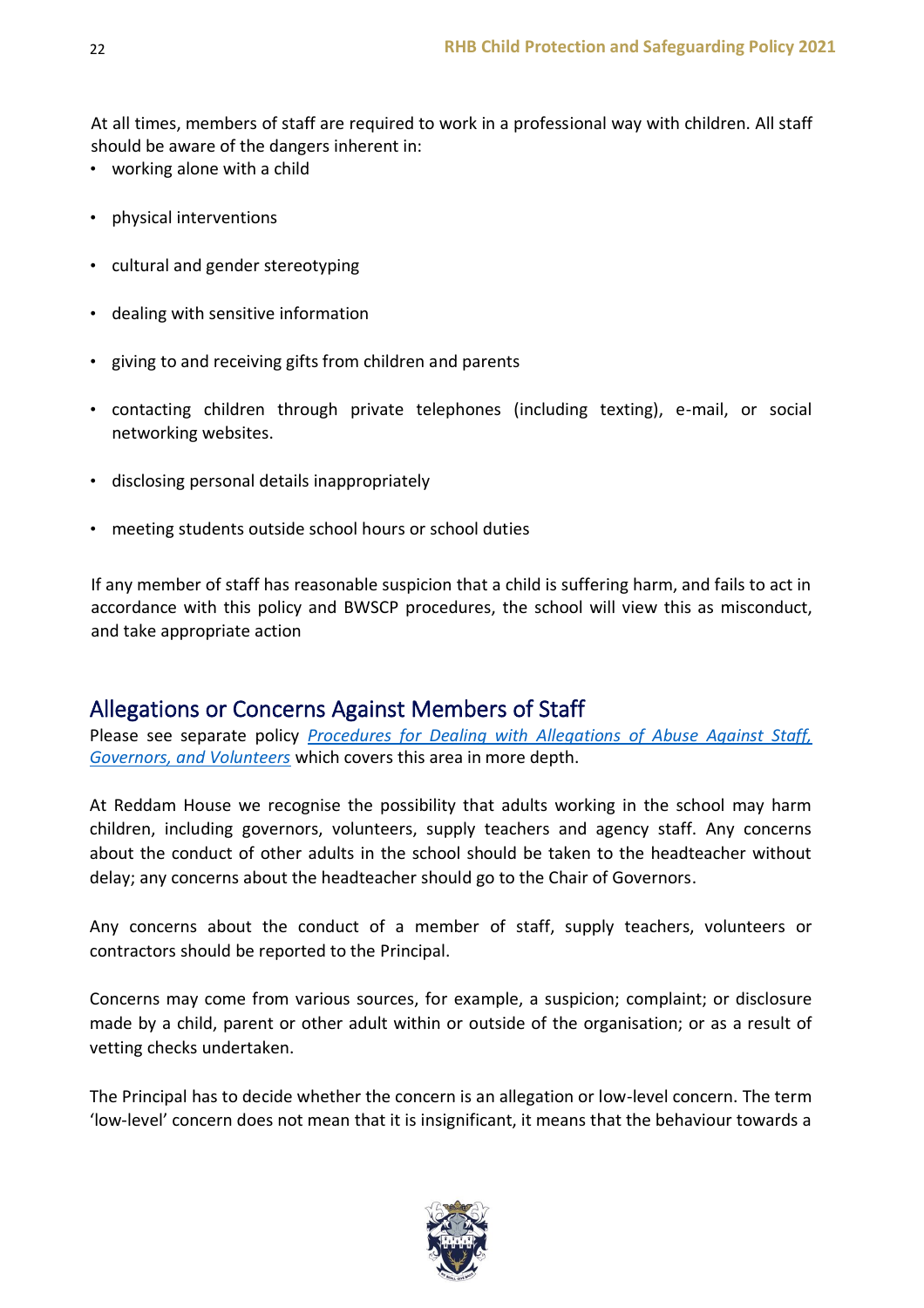At all times, members of staff are required to work in a professional way with children. All staff should be aware of the dangers inherent in:

- working alone with a child
- physical interventions
- cultural and gender stereotyping
- dealing with sensitive information
- giving to and receiving gifts from children and parents
- contacting children through private telephones (including texting), e-mail, or social networking websites.
- disclosing personal details inappropriately
- meeting students outside school hours or school duties

If any member of staff has reasonable suspicion that a child is suffering harm, and fails to act in accordance with this policy and BWSCP procedures, the school will view this as misconduct, and take appropriate action

### <span id="page-21-0"></span>Allegations or Concerns Against Members of Staff

Please see separate policy *[Procedures for Dealing with Allegations of Abuse Against Staff,](https://reddamhouse.sharepoint.com/:w:/r/sites/EmployeePortal/_layouts/15/Doc.aspx?sourcedoc=%7BF45F6CFB-A9ED-442D-B060-0A06754E89F1%7D&file=Procedure%20for%20Dealing%20with%20Allegations%20of%20Abuse%20Against%20Staff%2C%20Governors%2C%20and%20Volunteers.docx&action=default&mobileredirect=true&DefaultItemOpen=1)  [Governors, and Volunteers](https://reddamhouse.sharepoint.com/:w:/r/sites/EmployeePortal/_layouts/15/Doc.aspx?sourcedoc=%7BF45F6CFB-A9ED-442D-B060-0A06754E89F1%7D&file=Procedure%20for%20Dealing%20with%20Allegations%20of%20Abuse%20Against%20Staff%2C%20Governors%2C%20and%20Volunteers.docx&action=default&mobileredirect=true&DefaultItemOpen=1)* which covers this area in more depth.

At Reddam House we recognise the possibility that adults working in the school may harm children, including governors, volunteers, supply teachers and agency staff. Any concerns about the conduct of other adults in the school should be taken to the headteacher without delay; any concerns about the headteacher should go to the Chair of Governors.

Any concerns about the conduct of a member of staff, supply teachers, volunteers or contractors should be reported to the Principal.

Concerns may come from various sources, for example, a suspicion; complaint; or disclosure made by a child, parent or other adult within or outside of the organisation; or as a result of vetting checks undertaken.

The Principal has to decide whether the concern is an allegation or low-level concern. The term 'low-level' concern does not mean that it is insignificant, it means that the behaviour towards a

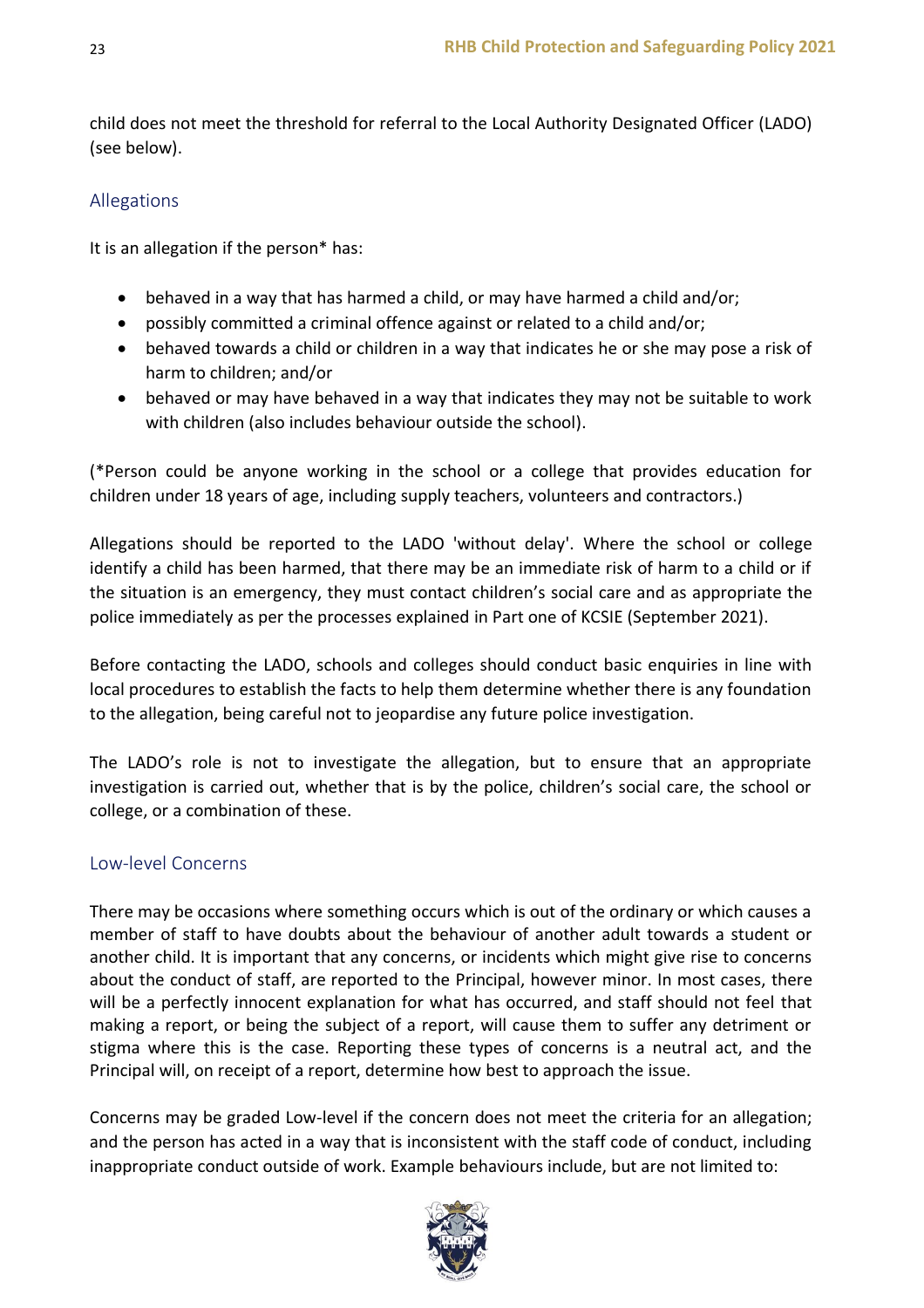child does not meet the threshold for referral to the Local Authority Designated Officer (LADO) (see below).

#### <span id="page-22-0"></span>Allegations

It is an allegation if the person\* has:

- behaved in a way that has harmed a child, or may have harmed a child and/or;
- possibly committed a criminal offence against or related to a child and/or;
- behaved towards a child or children in a way that indicates he or she may pose a risk of harm to children; and/or
- behaved or may have behaved in a way that indicates they may not be suitable to work with children (also includes behaviour outside the school).

(\*Person could be anyone working in the school or a college that provides education for children under 18 years of age, including supply teachers, volunteers and contractors.)

Allegations should be reported to the LADO 'without delay'. Where the school or college identify a child has been harmed, that there may be an immediate risk of harm to a child or if the situation is an emergency, they must contact children's social care and as appropriate the police immediately as per the processes explained in Part one of KCSIE (September 2021).

Before contacting the LADO, schools and colleges should conduct basic enquiries in line with local procedures to establish the facts to help them determine whether there is any foundation to the allegation, being careful not to jeopardise any future police investigation.

The LADO's role is not to investigate the allegation, but to ensure that an appropriate investigation is carried out, whether that is by the police, children's social care, the school or college, or a combination of these.

#### <span id="page-22-1"></span>Low-level Concerns

There may be occasions where something occurs which is out of the ordinary or which causes a member of staff to have doubts about the behaviour of another adult towards a student or another child. It is important that any concerns, or incidents which might give rise to concerns about the conduct of staff, are reported to the Principal, however minor. In most cases, there will be a perfectly innocent explanation for what has occurred, and staff should not feel that making a report, or being the subject of a report, will cause them to suffer any detriment or stigma where this is the case. Reporting these types of concerns is a neutral act, and the Principal will, on receipt of a report, determine how best to approach the issue.

Concerns may be graded Low-level if the concern does not meet the criteria for an allegation; and the person has acted in a way that is inconsistent with the staff code of conduct, including inappropriate conduct outside of work. Example behaviours include, but are not limited to:

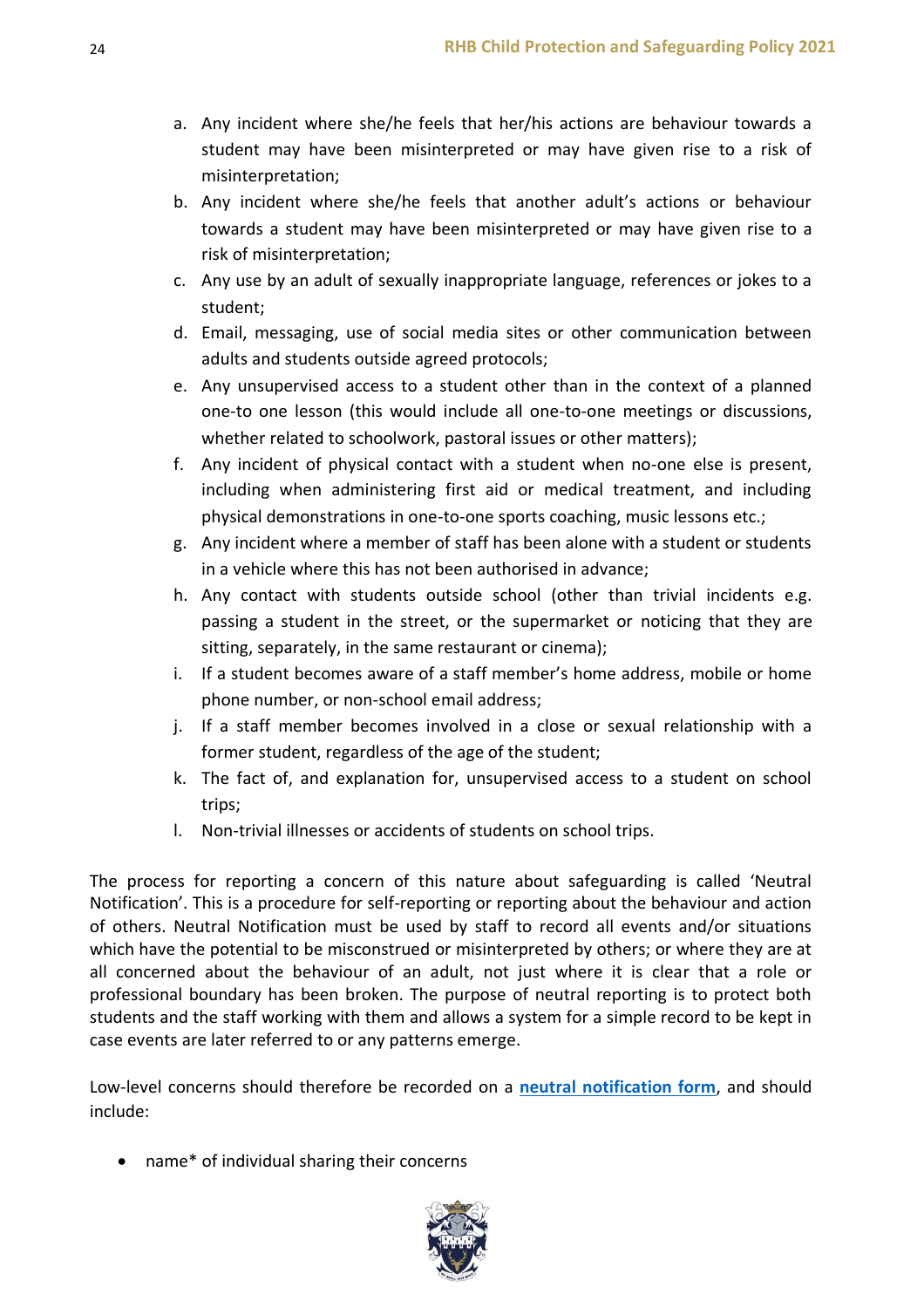- a. Any incident where she/he feels that her/his actions are behaviour towards a student may have been misinterpreted or may have given rise to a risk of misinterpretation;
- b. Any incident where she/he feels that another adult's actions or behaviour towards a student may have been misinterpreted or may have given rise to a risk of misinterpretation;
- c. Any use by an adult of sexually inappropriate language, references or jokes to a student;
- d. Email, messaging, use of social media sites or other communication between adults and students outside agreed protocols;
- e. Any unsupervised access to a student other than in the context of a planned one-to one lesson (this would include all one-to-one meetings or discussions, whether related to schoolwork, pastoral issues or other matters);
- f. Any incident of physical contact with a student when no-one else is present, including when administering first aid or medical treatment, and including physical demonstrations in one-to-one sports coaching, music lessons etc.;
- g. Any incident where a member of staff has been alone with a student or students in a vehicle where this has not been authorised in advance;
- h. Any contact with students outside school (other than trivial incidents e.g. passing a student in the street, or the supermarket or noticing that they are sitting, separately, in the same restaurant or cinema);
- i. If a student becomes aware of a staff member's home address, mobile or home phone number, or non-school email address;
- j. If a staff member becomes involved in a close or sexual relationship with a former student, regardless of the age of the student;
- k. The fact of, and explanation for, unsupervised access to a student on school trips;
- l. Non-trivial illnesses or accidents of students on school trips.

The process for reporting a concern of this nature about safeguarding is called 'Neutral Notification'. This is a procedure for self-reporting or reporting about the behaviour and action of others. Neutral Notification must be used by staff to record all events and/or situations which have the potential to be misconstrued or misinterpreted by others; or where they are at all concerned about the behaviour of an adult, not just where it is clear that a role or professional boundary has been broken. The purpose of neutral reporting is to protect both students and the staff working with them and allows a system for a simple record to be kept in case events are later referred to or any patterns emerge.

Low-level concerns should therefore be recorded on a **[neutral notification form](https://reddamhouse.sharepoint.com/:w:/s/EmployeePortal/EerGRBhoFSBHjYk3tirBZm8BYHqO7h6-G9ibkNG3SPcGMg)**, and should include:

• name\* of individual sharing their concerns

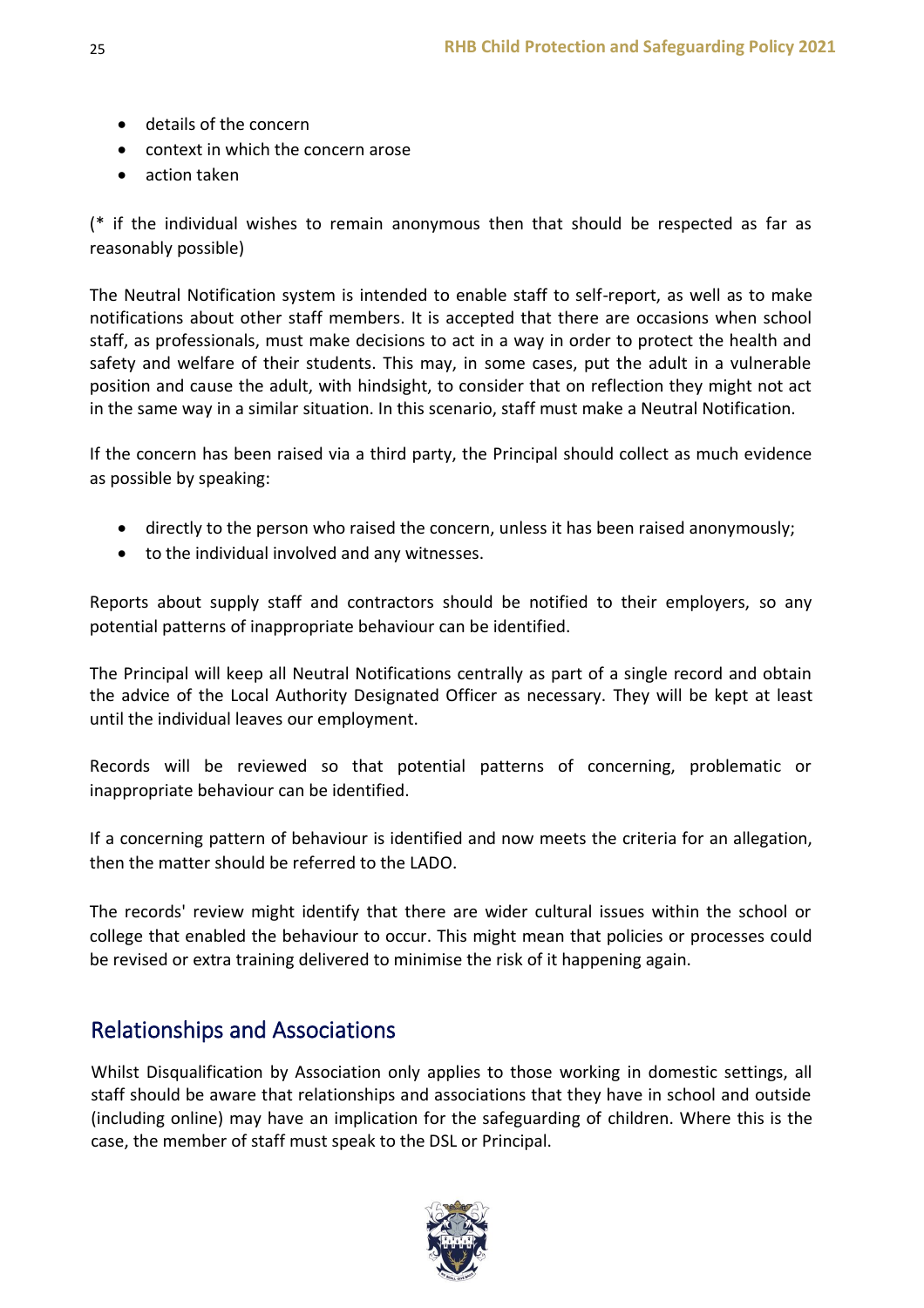- details of the concern
- context in which the concern arose
- action taken

(\* if the individual wishes to remain anonymous then that should be respected as far as reasonably possible)

The Neutral Notification system is intended to enable staff to self-report, as well as to make notifications about other staff members. It is accepted that there are occasions when school staff, as professionals, must make decisions to act in a way in order to protect the health and safety and welfare of their students. This may, in some cases, put the adult in a vulnerable position and cause the adult, with hindsight, to consider that on reflection they might not act in the same way in a similar situation. In this scenario, staff must make a Neutral Notification.

If the concern has been raised via a third party, the Principal should collect as much evidence as possible by speaking:

- directly to the person who raised the concern, unless it has been raised anonymously;
- to the individual involved and any witnesses.

Reports about supply staff and contractors should be notified to their employers, so any potential patterns of inappropriate behaviour can be identified.

The Principal will keep all Neutral Notifications centrally as part of a single record and obtain the advice of the Local Authority Designated Officer as necessary. They will be kept at least until the individual leaves our employment.

Records will be reviewed so that potential patterns of concerning, problematic or inappropriate behaviour can be identified.

If a concerning pattern of behaviour is identified and now meets the criteria for an allegation, then the matter should be referred to the LADO.

The records' review might identify that there are wider cultural issues within the school or college that enabled the behaviour to occur. This might mean that policies or processes could be revised or extra training delivered to minimise the risk of it happening again.

# <span id="page-24-0"></span>Relationships and Associations

Whilst Disqualification by Association only applies to those working in domestic settings, all staff should be aware that relationships and associations that they have in school and outside (including online) may have an implication for the safeguarding of children. Where this is the case, the member of staff must speak to the DSL or Principal.

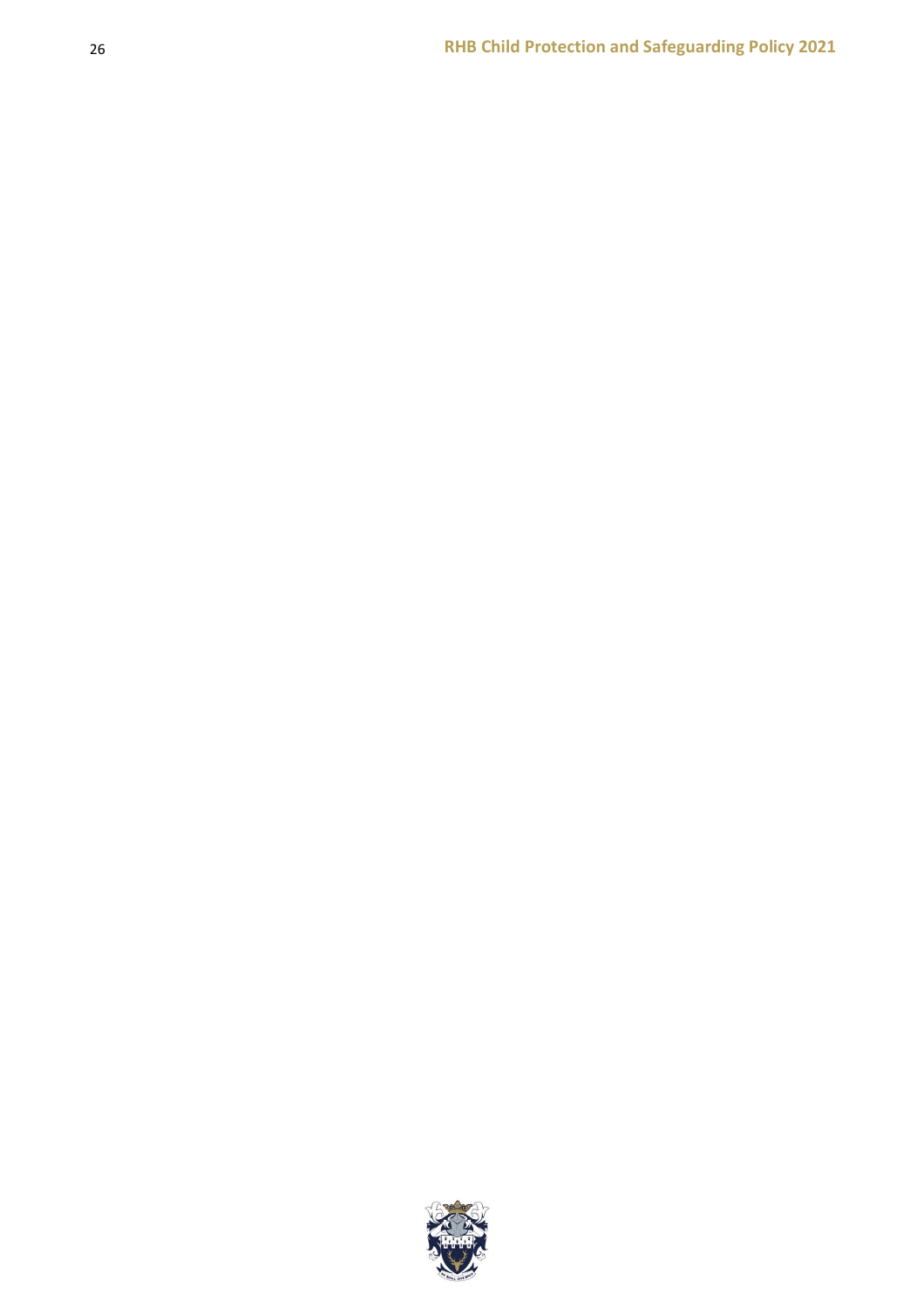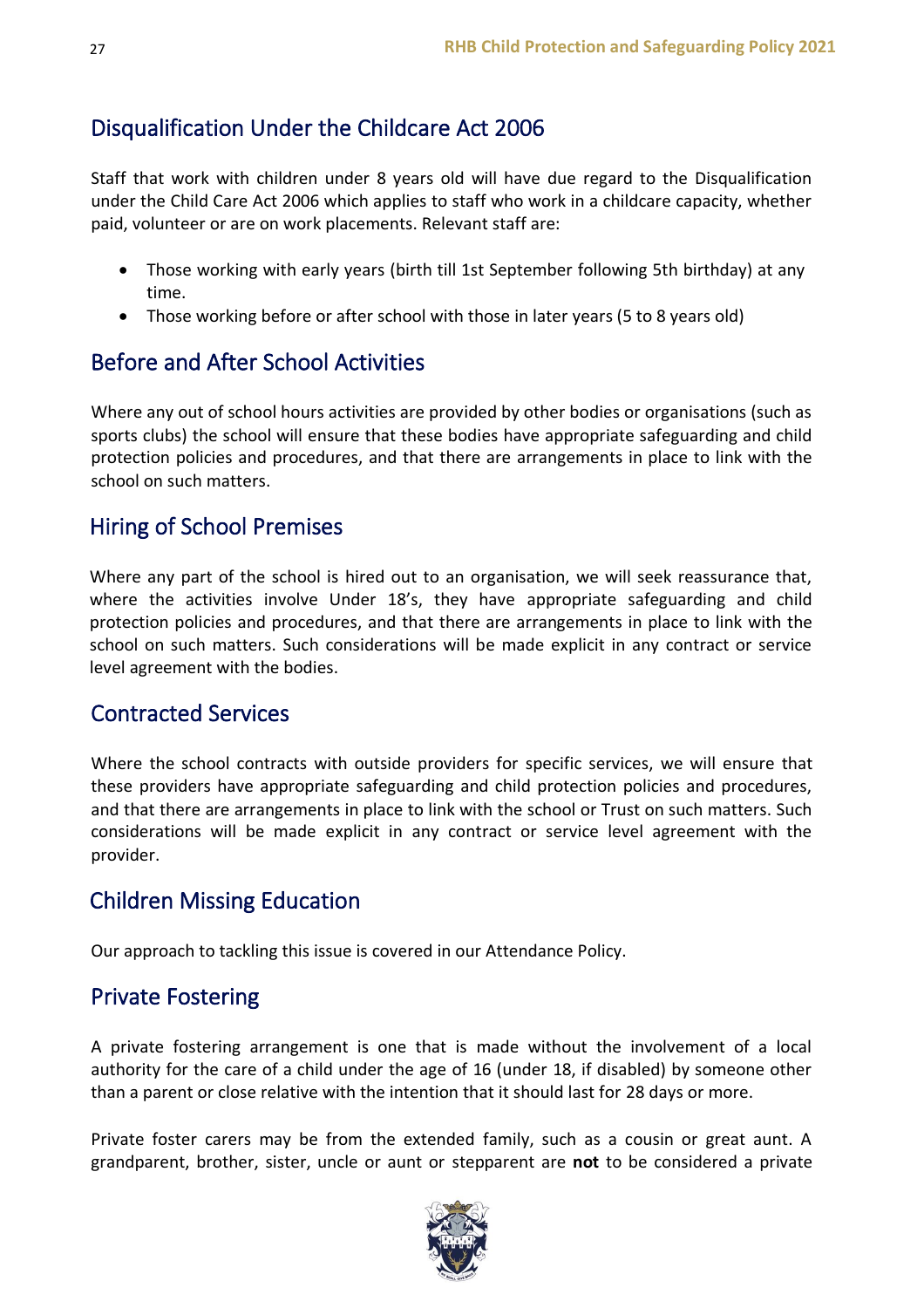# <span id="page-26-0"></span>Disqualification Under the Childcare Act 2006

Staff that work with children under 8 years old will have due regard to the Disqualification under the Child Care Act 2006 which applies to staff who work in a childcare capacity, whether paid, volunteer or are on work placements. Relevant staff are:

- Those working with early years (birth till 1st September following 5th birthday) at any time.
- Those working before or after school with those in later years (5 to 8 years old)

### <span id="page-26-1"></span>Before and After School Activities

Where any out of school hours activities are provided by other bodies or organisations (such as sports clubs) the school will ensure that these bodies have appropriate safeguarding and child protection policies and procedures, and that there are arrangements in place to link with the school on such matters.

### <span id="page-26-2"></span>Hiring of School Premises

Where any part of the school is hired out to an organisation, we will seek reassurance that, where the activities involve Under 18's, they have appropriate safeguarding and child protection policies and procedures, and that there are arrangements in place to link with the school on such matters. Such considerations will be made explicit in any contract or service level agreement with the bodies.

#### <span id="page-26-3"></span>Contracted Services

Where the school contracts with outside providers for specific services, we will ensure that these providers have appropriate safeguarding and child protection policies and procedures, and that there are arrangements in place to link with the school or Trust on such matters. Such considerations will be made explicit in any contract or service level agreement with the provider.

### <span id="page-26-4"></span>Children Missing Education

<span id="page-26-5"></span>Our approach to tackling this issue is covered in our Attendance Policy.

### Private Fostering

A private fostering arrangement is one that is made without the involvement of a local authority for the care of a child under the age of 16 (under 18, if disabled) by someone other than a parent or close relative with the intention that it should last for 28 days or more.

Private foster carers may be from the extended family, such as a cousin or great aunt. A grandparent, brother, sister, uncle or aunt or stepparent are **not** to be considered a private

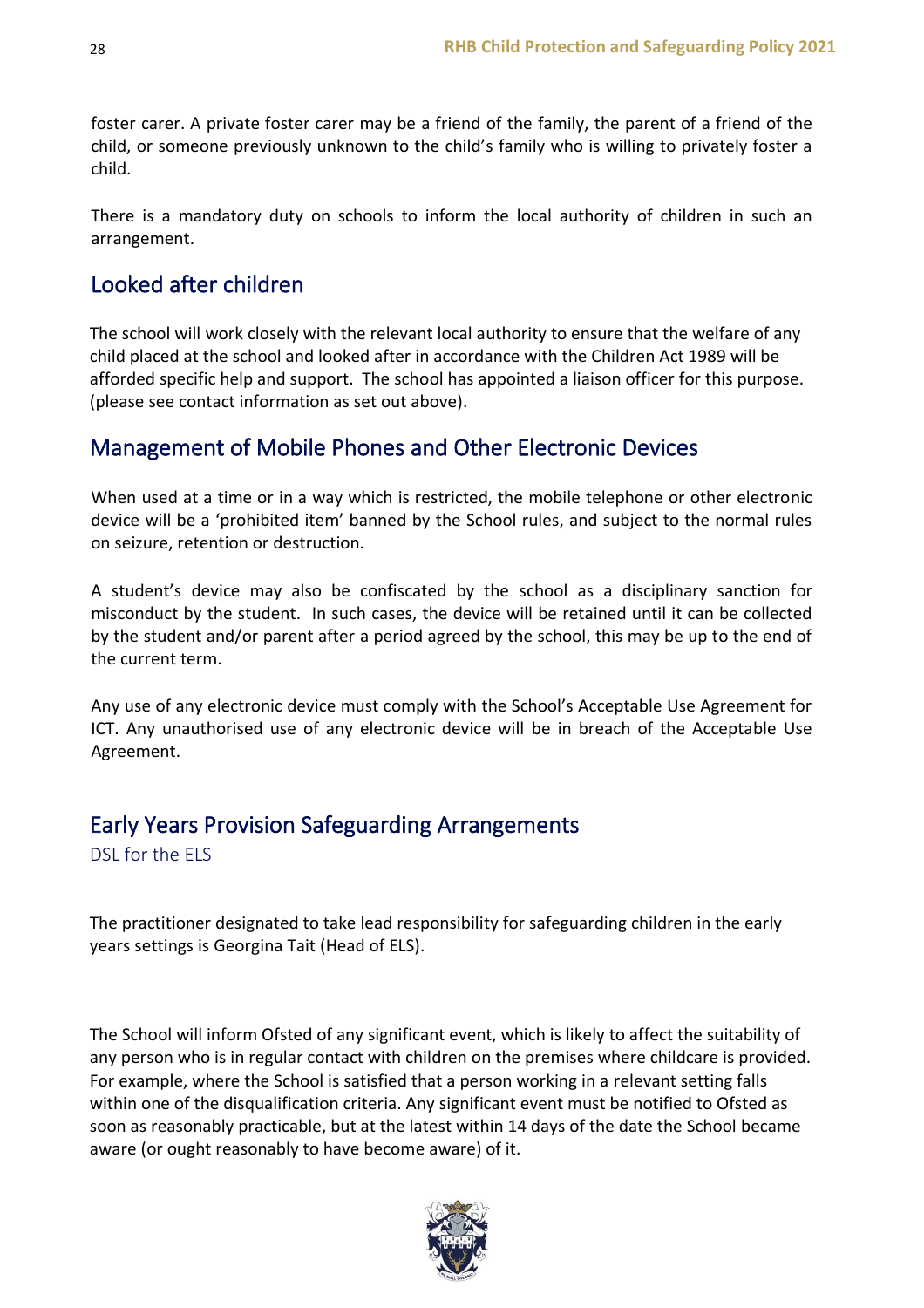foster carer. A private foster carer may be a friend of the family, the parent of a friend of the child, or someone previously unknown to the child's family who is willing to privately foster a child.

There is a mandatory duty on schools to inform the local authority of children in such an arrangement.

### <span id="page-27-0"></span>Looked after children

The school will work closely with the relevant local authority to ensure that the welfare of any child placed at the school and looked after in accordance with the Children Act 1989 will be afforded specific help and support. The school has appointed a liaison officer for this purpose. (please see contact information as set out above).

### <span id="page-27-1"></span>Management of Mobile Phones and Other Electronic Devices

When used at a time or in a way which is restricted, the mobile telephone or other electronic device will be a 'prohibited item' banned by the School rules, and subject to the normal rules on seizure, retention or destruction.

A student's device may also be confiscated by the school as a disciplinary sanction for misconduct by the student. In such cases, the device will be retained until it can be collected by the student and/or parent after a period agreed by the school, this may be up to the end of the current term.

Any use of any electronic device must comply with the School's Acceptable Use Agreement for ICT. Any unauthorised use of any electronic device will be in breach of the Acceptable Use Agreement.

### <span id="page-27-2"></span>Early Years Provision Safeguarding Arrangements

<span id="page-27-3"></span>DSL for the ELS

The practitioner designated to take lead responsibility for safeguarding children in the early years settings is Georgina Tait (Head of ELS).

The School will inform Ofsted of any significant event, which is likely to affect the suitability of any person who is in regular contact with children on the premises where childcare is provided. For example, where the School is satisfied that a person working in a relevant setting falls within one of the disqualification criteria. Any significant event must be notified to Ofsted as soon as reasonably practicable, but at the latest within 14 days of the date the School became aware (or ought reasonably to have become aware) of it.

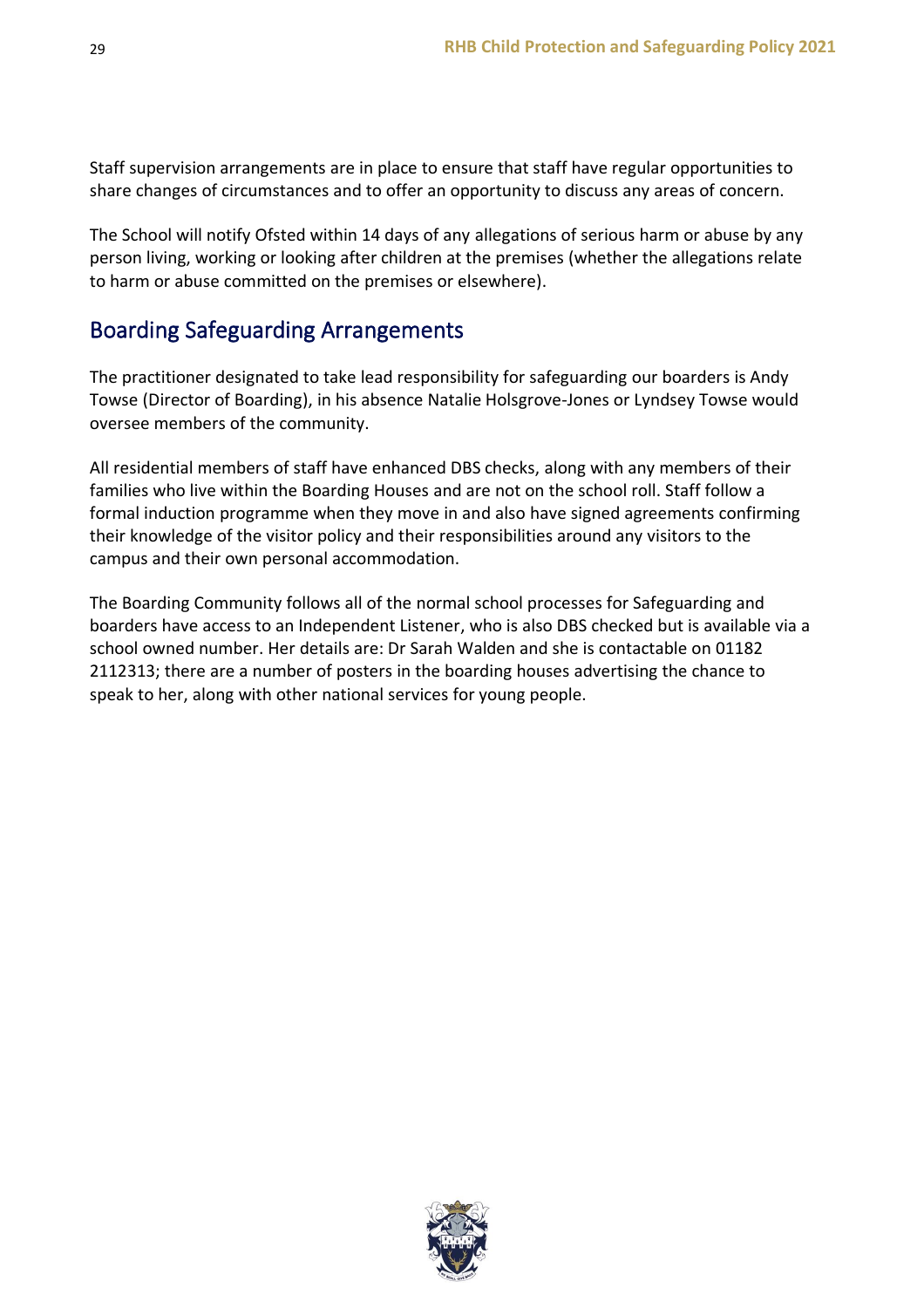Staff supervision arrangements are in place to ensure that staff have regular opportunities to share changes of circumstances and to offer an opportunity to discuss any areas of concern.

The School will notify Ofsted within 14 days of any allegations of serious harm or abuse by any person living, working or looking after children at the premises (whether the allegations relate to harm or abuse committed on the premises or elsewhere).

# <span id="page-28-0"></span>Boarding Safeguarding Arrangements

The practitioner designated to take lead responsibility for safeguarding our boarders is Andy Towse (Director of Boarding), in his absence Natalie Holsgrove-Jones or Lyndsey Towse would oversee members of the community.

All residential members of staff have enhanced DBS checks, along with any members of their families who live within the Boarding Houses and are not on the school roll. Staff follow a formal induction programme when they move in and also have signed agreements confirming their knowledge of the visitor policy and their responsibilities around any visitors to the campus and their own personal accommodation.

The Boarding Community follows all of the normal school processes for Safeguarding and boarders have access to an Independent Listener, who is also DBS checked but is available via a school owned number. Her details are: Dr Sarah Walden and she is contactable on 01182 2112313; there are a number of posters in the boarding houses advertising the chance to speak to her, along with other national services for young people.

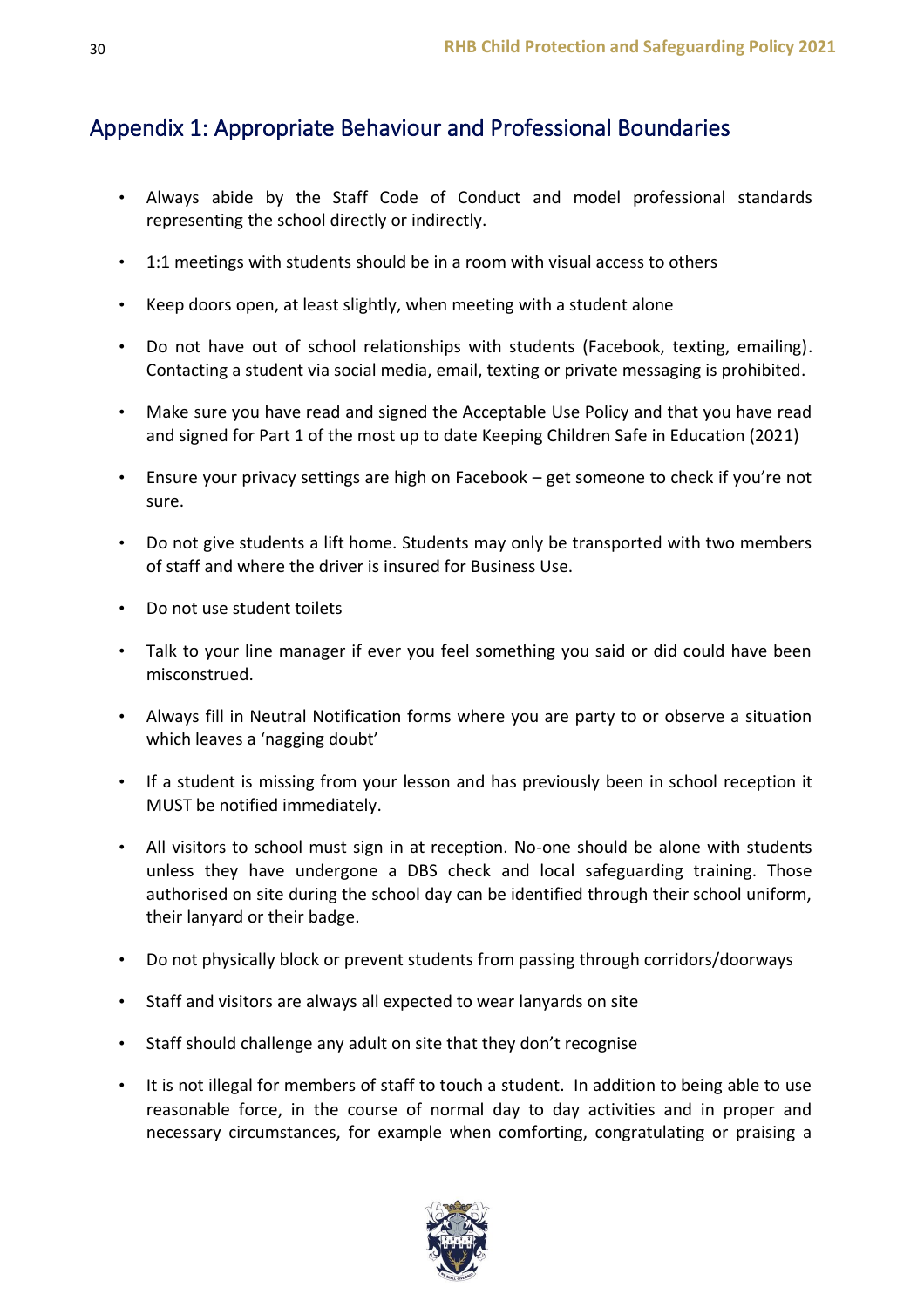# <span id="page-29-0"></span>Appendix 1: Appropriate Behaviour and Professional Boundaries

- Always abide by the Staff Code of Conduct and model professional standards representing the school directly or indirectly.
- 1:1 meetings with students should be in a room with visual access to others
- Keep doors open, at least slightly, when meeting with a student alone
- Do not have out of school relationships with students (Facebook, texting, emailing). Contacting a student via social media, email, texting or private messaging is prohibited.
- Make sure you have read and signed the Acceptable Use Policy and that you have read and signed for Part 1 of the most up to date Keeping Children Safe in Education (2021)
- Ensure your privacy settings are high on Facebook get someone to check if you're not sure.
- Do not give students a lift home. Students may only be transported with two members of staff and where the driver is insured for Business Use.
- Do not use student toilets
- Talk to your line manager if ever you feel something you said or did could have been misconstrued.
- Always fill in Neutral Notification forms where you are party to or observe a situation which leaves a 'nagging doubt'
- If a student is missing from your lesson and has previously been in school reception it MUST be notified immediately.
- All visitors to school must sign in at reception. No-one should be alone with students unless they have undergone a DBS check and local safeguarding training. Those authorised on site during the school day can be identified through their school uniform, their lanyard or their badge.
- Do not physically block or prevent students from passing through corridors/doorways
- Staff and visitors are always all expected to wear lanyards on site
- Staff should challenge any adult on site that they don't recognise
- It is not illegal for members of staff to touch a student. In addition to being able to use reasonable force, in the course of normal day to day activities and in proper and necessary circumstances, for example when comforting, congratulating or praising a

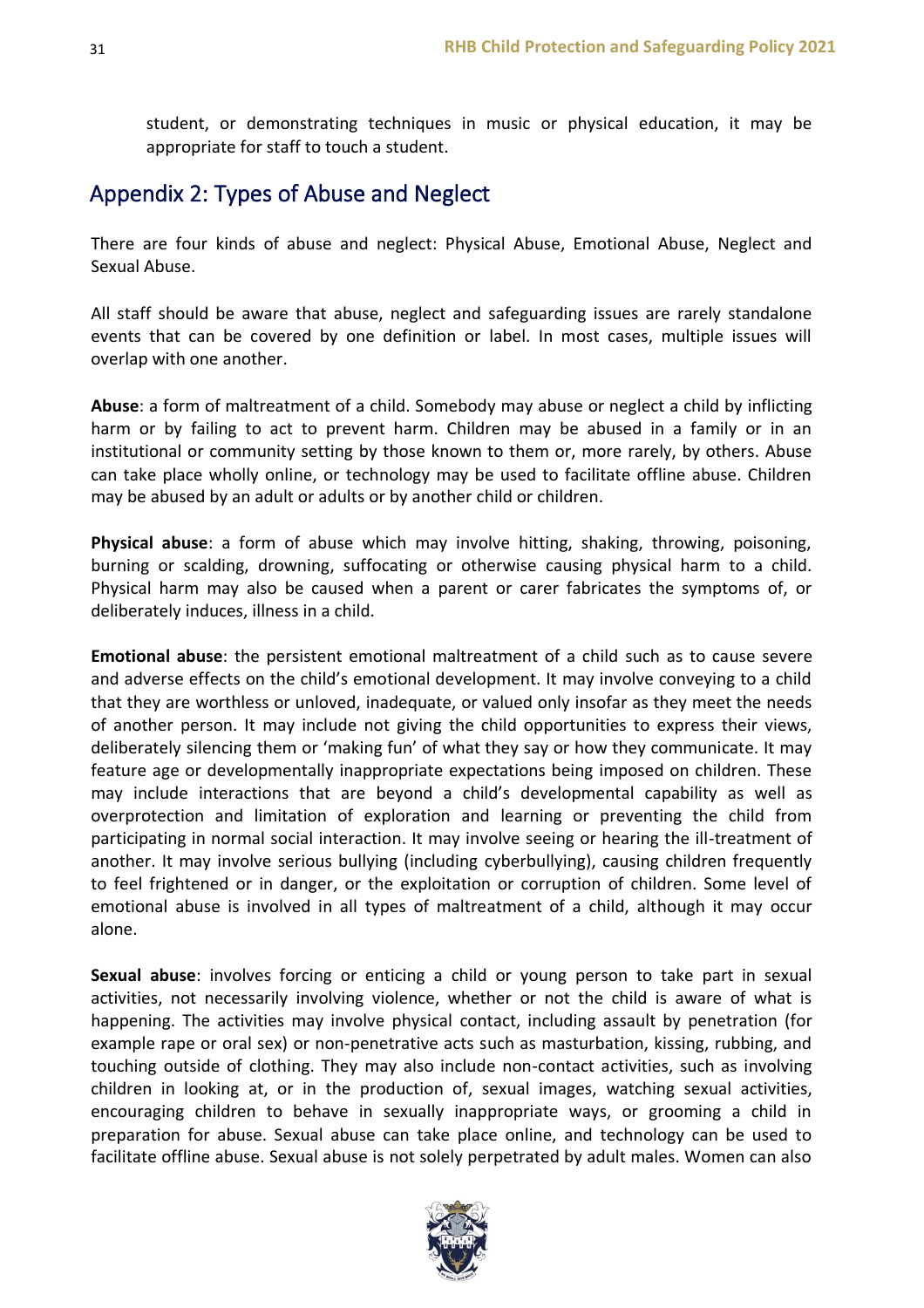student, or demonstrating techniques in music or physical education, it may be appropriate for staff to touch a student.

#### <span id="page-30-0"></span>Appendix 2: Types of Abuse and Neglect

There are four kinds of abuse and neglect: Physical Abuse, Emotional Abuse, Neglect and Sexual Abuse.

All staff should be aware that abuse, neglect and safeguarding issues are rarely standalone events that can be covered by one definition or label. In most cases, multiple issues will overlap with one another.

**Abuse**: a form of maltreatment of a child. Somebody may abuse or neglect a child by inflicting harm or by failing to act to prevent harm. Children may be abused in a family or in an institutional or community setting by those known to them or, more rarely, by others. Abuse can take place wholly online, or technology may be used to facilitate offline abuse. Children may be abused by an adult or adults or by another child or children.

**Physical abuse**: a form of abuse which may involve hitting, shaking, throwing, poisoning, burning or scalding, drowning, suffocating or otherwise causing physical harm to a child. Physical harm may also be caused when a parent or carer fabricates the symptoms of, or deliberately induces, illness in a child.

**Emotional abuse**: the persistent emotional maltreatment of a child such as to cause severe and adverse effects on the child's emotional development. It may involve conveying to a child that they are worthless or unloved, inadequate, or valued only insofar as they meet the needs of another person. It may include not giving the child opportunities to express their views, deliberately silencing them or 'making fun' of what they say or how they communicate. It may feature age or developmentally inappropriate expectations being imposed on children. These may include interactions that are beyond a child's developmental capability as well as overprotection and limitation of exploration and learning or preventing the child from participating in normal social interaction. It may involve seeing or hearing the ill-treatment of another. It may involve serious bullying (including cyberbullying), causing children frequently to feel frightened or in danger, or the exploitation or corruption of children. Some level of emotional abuse is involved in all types of maltreatment of a child, although it may occur alone.

**Sexual abuse**: involves forcing or enticing a child or young person to take part in sexual activities, not necessarily involving violence, whether or not the child is aware of what is happening. The activities may involve physical contact, including assault by penetration (for example rape or oral sex) or non-penetrative acts such as masturbation, kissing, rubbing, and touching outside of clothing. They may also include non-contact activities, such as involving children in looking at, or in the production of, sexual images, watching sexual activities, encouraging children to behave in sexually inappropriate ways, or grooming a child in preparation for abuse. Sexual abuse can take place online, and technology can be used to facilitate offline abuse. Sexual abuse is not solely perpetrated by adult males. Women can also

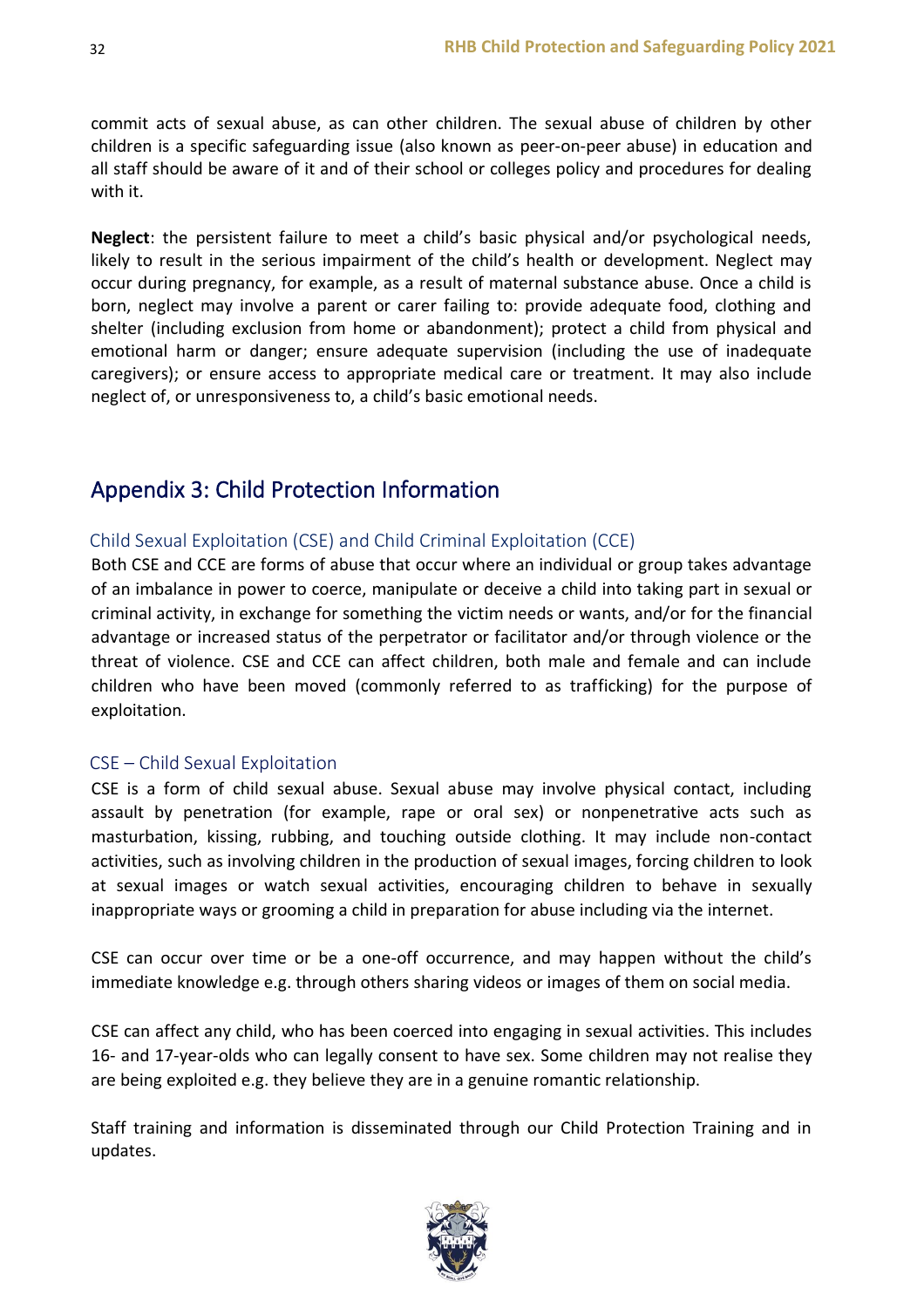commit acts of sexual abuse, as can other children. The sexual abuse of children by other children is a specific safeguarding issue (also known as peer-on-peer abuse) in education and all staff should be aware of it and of their school or colleges policy and procedures for dealing with it.

**Neglect**: the persistent failure to meet a child's basic physical and/or psychological needs, likely to result in the serious impairment of the child's health or development. Neglect may occur during pregnancy, for example, as a result of maternal substance abuse. Once a child is born, neglect may involve a parent or carer failing to: provide adequate food, clothing and shelter (including exclusion from home or abandonment); protect a child from physical and emotional harm or danger; ensure adequate supervision (including the use of inadequate caregivers); or ensure access to appropriate medical care or treatment. It may also include neglect of, or unresponsiveness to, a child's basic emotional needs.

### <span id="page-31-0"></span>Appendix 3: Child Protection Information

#### Child Sexual Exploitation (CSE) and Child Criminal Exploitation (CCE)

Both CSE and CCE are forms of abuse that occur where an individual or group takes advantage of an imbalance in power to coerce, manipulate or deceive a child into taking part in sexual or criminal activity, in exchange for something the victim needs or wants, and/or for the financial advantage or increased status of the perpetrator or facilitator and/or through violence or the threat of violence. CSE and CCE can affect children, both male and female and can include children who have been moved (commonly referred to as trafficking) for the purpose of exploitation.

#### CSE – Child Sexual Exploitation

CSE is a form of child sexual abuse. Sexual abuse may involve physical contact, including assault by penetration (for example, rape or oral sex) or nonpenetrative acts such as masturbation, kissing, rubbing, and touching outside clothing. It may include non-contact activities, such as involving children in the production of sexual images, forcing children to look at sexual images or watch sexual activities, encouraging children to behave in sexually inappropriate ways or grooming a child in preparation for abuse including via the internet.

CSE can occur over time or be a one-off occurrence, and may happen without the child's immediate knowledge e.g. through others sharing videos or images of them on social media.

CSE can affect any child, who has been coerced into engaging in sexual activities. This includes 16- and 17-year-olds who can legally consent to have sex. Some children may not realise they are being exploited e.g. they believe they are in a genuine romantic relationship.

Staff training and information is disseminated through our Child Protection Training and in updates.

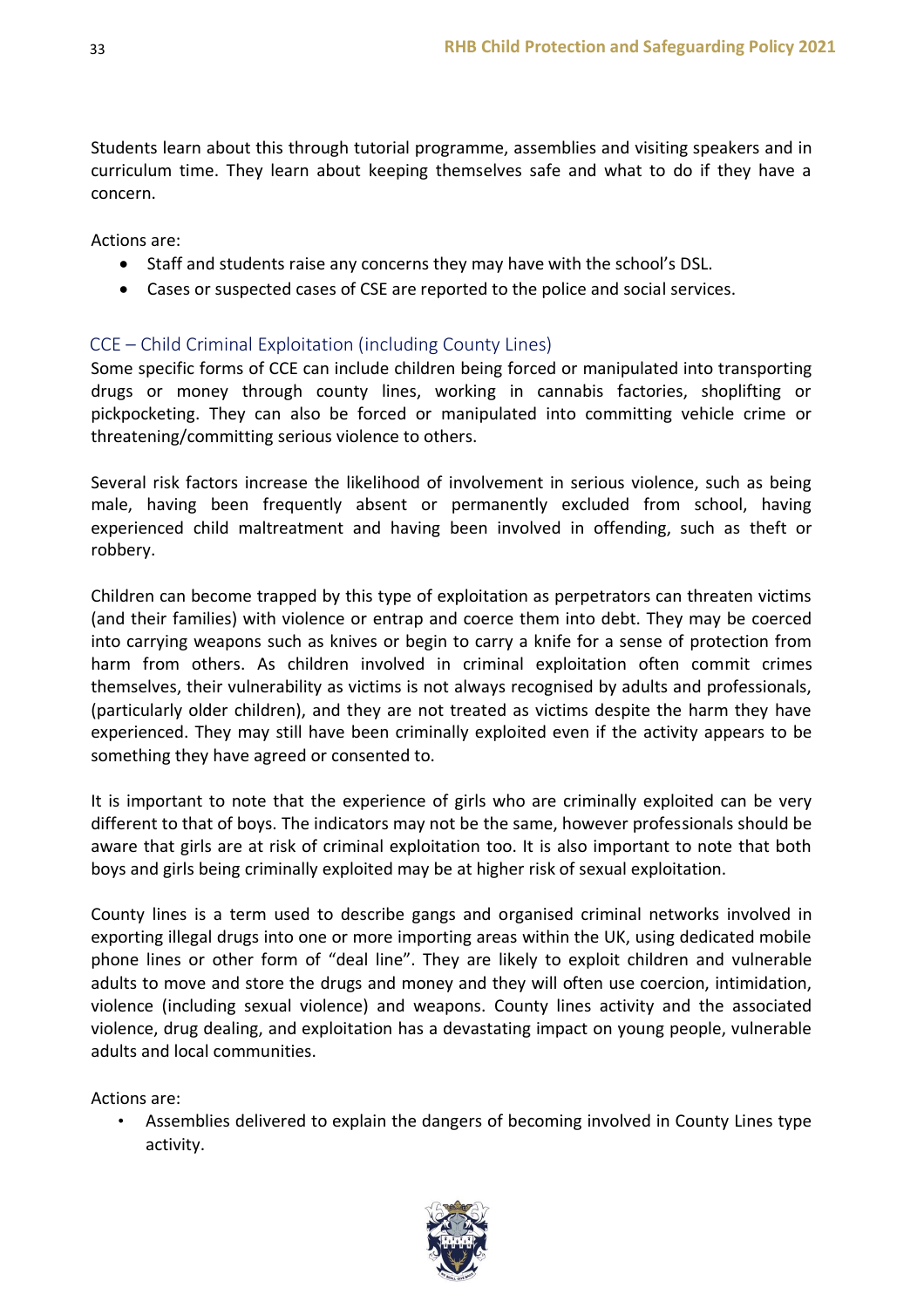Students learn about this through tutorial programme, assemblies and visiting speakers and in curriculum time. They learn about keeping themselves safe and what to do if they have a concern.

Actions are:

- Staff and students raise any concerns they may have with the school's DSL.
- Cases or suspected cases of CSE are reported to the police and social services.

#### <span id="page-32-0"></span>CCE – Child Criminal Exploitation (including County Lines)

Some specific forms of CCE can include children being forced or manipulated into transporting drugs or money through county lines, working in cannabis factories, shoplifting or pickpocketing. They can also be forced or manipulated into committing vehicle crime or threatening/committing serious violence to others.

Several risk factors increase the likelihood of involvement in serious violence, such as being male, having been frequently absent or permanently excluded from school, having experienced child maltreatment and having been involved in offending, such as theft or robbery.

Children can become trapped by this type of exploitation as perpetrators can threaten victims (and their families) with violence or entrap and coerce them into debt. They may be coerced into carrying weapons such as knives or begin to carry a knife for a sense of protection from harm from others. As children involved in criminal exploitation often commit crimes themselves, their vulnerability as victims is not always recognised by adults and professionals, (particularly older children), and they are not treated as victims despite the harm they have experienced. They may still have been criminally exploited even if the activity appears to be something they have agreed or consented to.

It is important to note that the experience of girls who are criminally exploited can be very different to that of boys. The indicators may not be the same, however professionals should be aware that girls are at risk of criminal exploitation too. It is also important to note that both boys and girls being criminally exploited may be at higher risk of sexual exploitation.

County lines is a term used to describe gangs and organised criminal networks involved in exporting illegal drugs into one or more importing areas within the UK, using dedicated mobile phone lines or other form of "deal line". They are likely to exploit children and vulnerable adults to move and store the drugs and money and they will often use coercion, intimidation, violence (including sexual violence) and weapons. County lines activity and the associated violence, drug dealing, and exploitation has a devastating impact on young people, vulnerable adults and local communities.

Actions are:

• Assemblies delivered to explain the dangers of becoming involved in County Lines type activity.

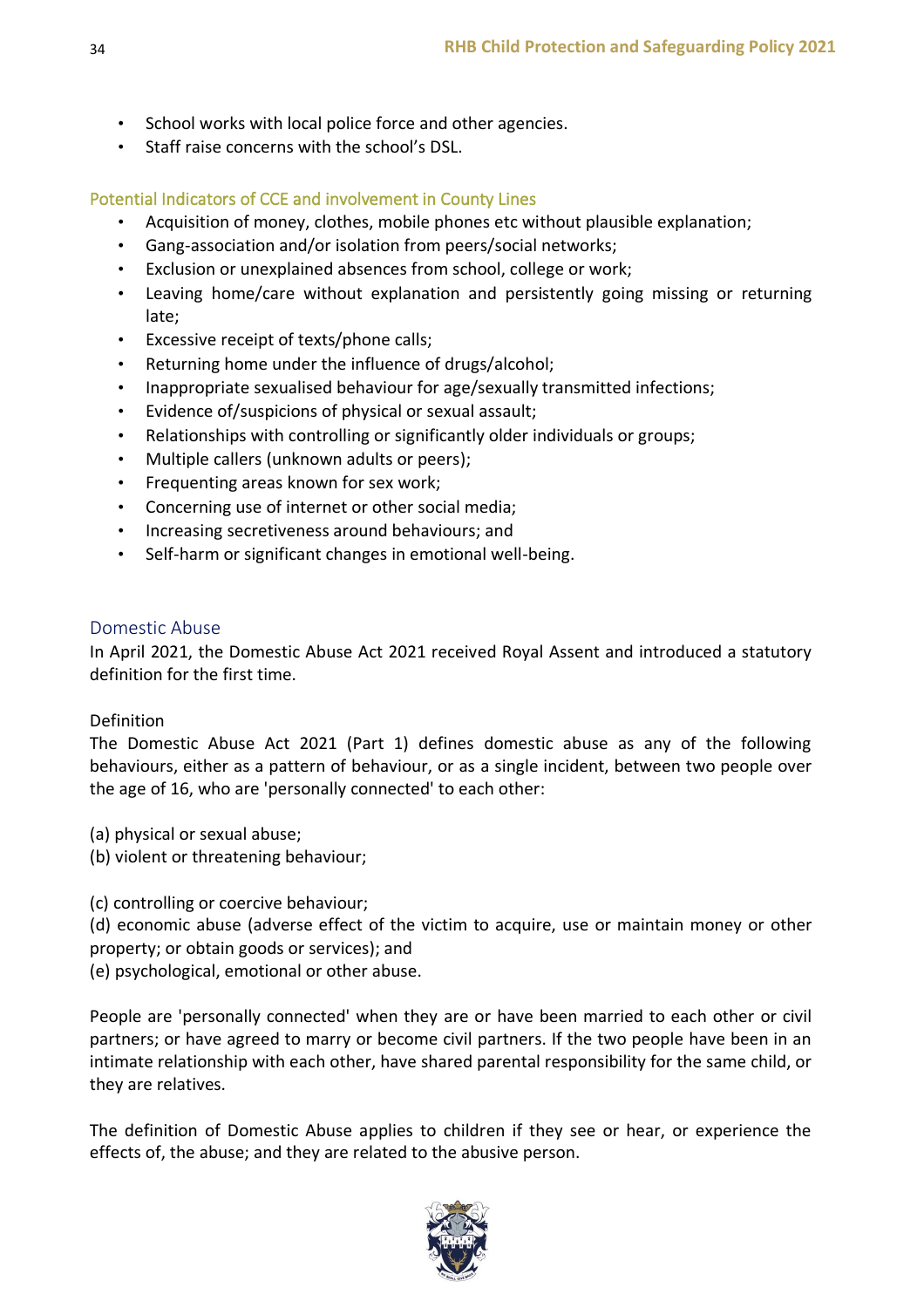- School works with local police force and other agencies.
- Staff raise concerns with the school's DSL.

#### Potential Indicators of CCE and involvement in County Lines

- Acquisition of money, clothes, mobile phones etc without plausible explanation;
- Gang-association and/or isolation from peers/social networks;
- Exclusion or unexplained absences from school, college or work;
- Leaving home/care without explanation and persistently going missing or returning late;
- Excessive receipt of texts/phone calls;
- Returning home under the influence of drugs/alcohol;
- Inappropriate sexualised behaviour for age/sexually transmitted infections;
- Evidence of/suspicions of physical or sexual assault;
- Relationships with controlling or significantly older individuals or groups;
- Multiple callers (unknown adults or peers);
- Frequenting areas known for sex work;
- Concerning use of internet or other social media;
- Increasing secretiveness around behaviours; and
- Self-harm or significant changes in emotional well-being.

#### <span id="page-33-0"></span>Domestic Abuse

In April 2021, the Domestic Abuse Act 2021 received Royal Assent and introduced a statutory definition for the first time.

#### Definition

The Domestic Abuse Act 2021 (Part 1) defines domestic abuse as any of the following behaviours, either as a pattern of behaviour, or as a single incident, between two people over the age of 16, who are 'personally connected' to each other:

(a) physical or sexual abuse;

(b) violent or threatening behaviour;

(c) controlling or coercive behaviour;

(d) economic abuse (adverse effect of the victim to acquire, use or maintain money or other property; or obtain goods or services); and

(e) psychological, emotional or other abuse.

People are 'personally connected' when they are or have been married to each other or civil partners; or have agreed to marry or become civil partners. If the two people have been in an intimate relationship with each other, have shared parental responsibility for the same child, or they are relatives.

The definition of Domestic Abuse applies to children if they see or hear, or experience the effects of, the abuse; and they are related to the abusive person.

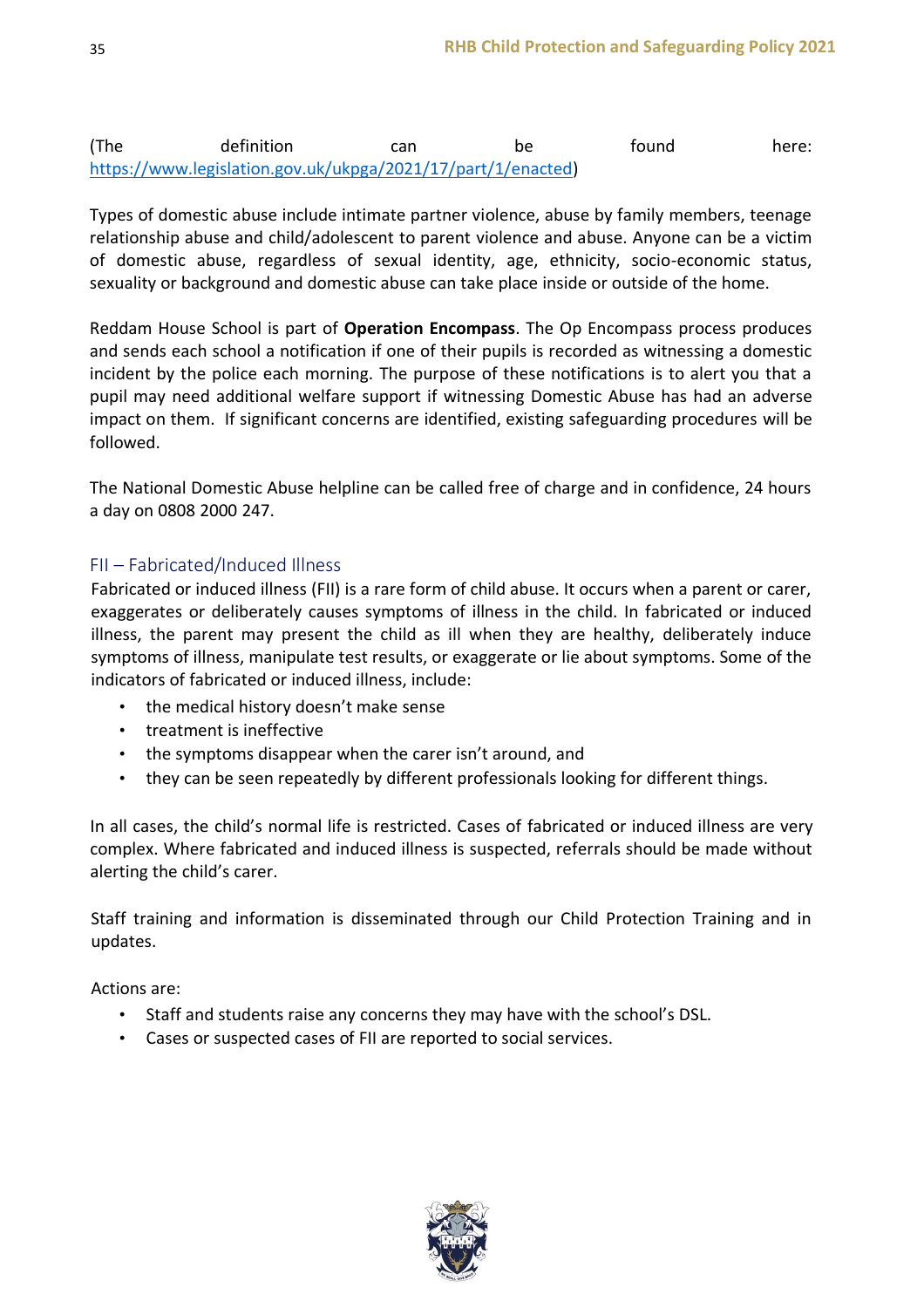(The definition can be found here: [https://www.legislation.gov.uk/ukpga/2021/17/part/1/enacted\)](https://www.legislation.gov.uk/ukpga/2021/17/part/1/enacted)

Types of domestic abuse include intimate partner violence, abuse by family members, teenage relationship abuse and child/adolescent to parent violence and abuse. Anyone can be a victim of domestic abuse, regardless of sexual identity, age, ethnicity, socio-economic status, sexuality or background and domestic abuse can take place inside or outside of the home.

Reddam House School is part of **Operation Encompass**. The Op Encompass process produces and sends each school a notification if one of their pupils is recorded as witnessing a domestic incident by the police each morning. The purpose of these notifications is to alert you that a pupil may need additional welfare support if witnessing Domestic Abuse has had an adverse impact on them. If significant concerns are identified, existing safeguarding procedures will be followed.

The National Domestic Abuse helpline can be called free of charge and in confidence, 24 hours a day on 0808 2000 247.

#### FII – Fabricated/Induced Illness

Fabricated or induced illness (FII) is a rare form of child abuse. It occurs when a parent or carer, exaggerates or deliberately causes symptoms of illness in the child. In fabricated or induced illness, the parent may present the child as ill when they are healthy, deliberately induce symptoms of illness, manipulate test results, or exaggerate or lie about symptoms. Some of the indicators of fabricated or induced illness, include:

- the medical history doesn't make sense
- treatment is ineffective
- the symptoms disappear when the carer isn't around, and
- they can be seen repeatedly by different professionals looking for different things.

In all cases, the child's normal life is restricted. Cases of fabricated or induced illness are very complex. Where fabricated and induced illness is suspected, referrals should be made without alerting the child's carer.

Staff training and information is disseminated through our Child Protection Training and in updates.

Actions are:

- Staff and students raise any concerns they may have with the school's DSL.
- Cases or suspected cases of FII are reported to social services.

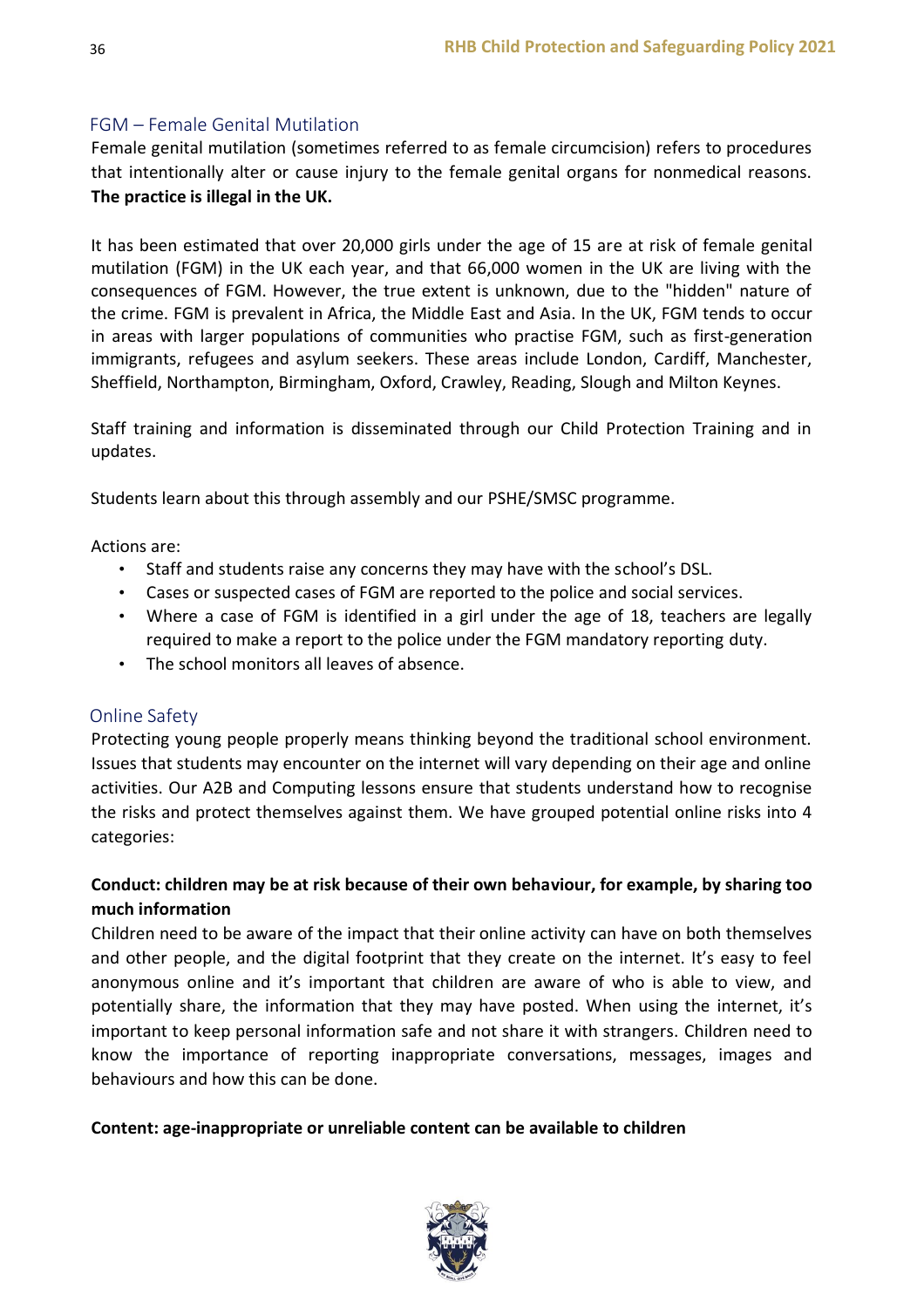#### <span id="page-35-0"></span>FGM – Female Genital Mutilation

Female genital mutilation (sometimes referred to as female circumcision) refers to procedures that intentionally alter or cause injury to the female genital organs for nonmedical reasons. **The practice is illegal in the UK.**

It has been estimated that over 20,000 girls under the age of 15 are at risk of female genital mutilation (FGM) in the UK each year, and that 66,000 women in the UK are living with the consequences of FGM. However, the true extent is unknown, due to the "hidden" nature of the crime. FGM is prevalent in Africa, the Middle East and Asia. In the UK, FGM tends to occur in areas with larger populations of communities who practise FGM, such as first-generation immigrants, refugees and asylum seekers. These areas include London, Cardiff, Manchester, Sheffield, Northampton, Birmingham, Oxford, Crawley, Reading, Slough and Milton Keynes.

Staff training and information is disseminated through our Child Protection Training and in updates.

Students learn about this through assembly and our PSHE/SMSC programme.

Actions are:

- Staff and students raise any concerns they may have with the school's DSL.
- Cases or suspected cases of FGM are reported to the police and social services.
- Where a case of FGM is identified in a girl under the age of 18, teachers are legally required to make a report to the police under the FGM mandatory reporting duty.
- The school monitors all leaves of absence.

#### <span id="page-35-1"></span>Online Safety

Protecting young people properly means thinking beyond the traditional school environment. Issues that students may encounter on the internet will vary depending on their age and online activities. Our A2B and Computing lessons ensure that students understand how to recognise the risks and protect themselves against them. We have grouped potential online risks into 4 categories:

#### **Conduct: children may be at risk because of their own behaviour, for example, by sharing too much information**

Children need to be aware of the impact that their online activity can have on both themselves and other people, and the digital footprint that they create on the internet. It's easy to feel anonymous online and it's important that children are aware of who is able to view, and potentially share, the information that they may have posted. When using the internet, it's important to keep personal information safe and not share it with strangers. Children need to know the importance of reporting inappropriate conversations, messages, images and behaviours and how this can be done.

#### **Content: age-inappropriate or unreliable content can be available to children**

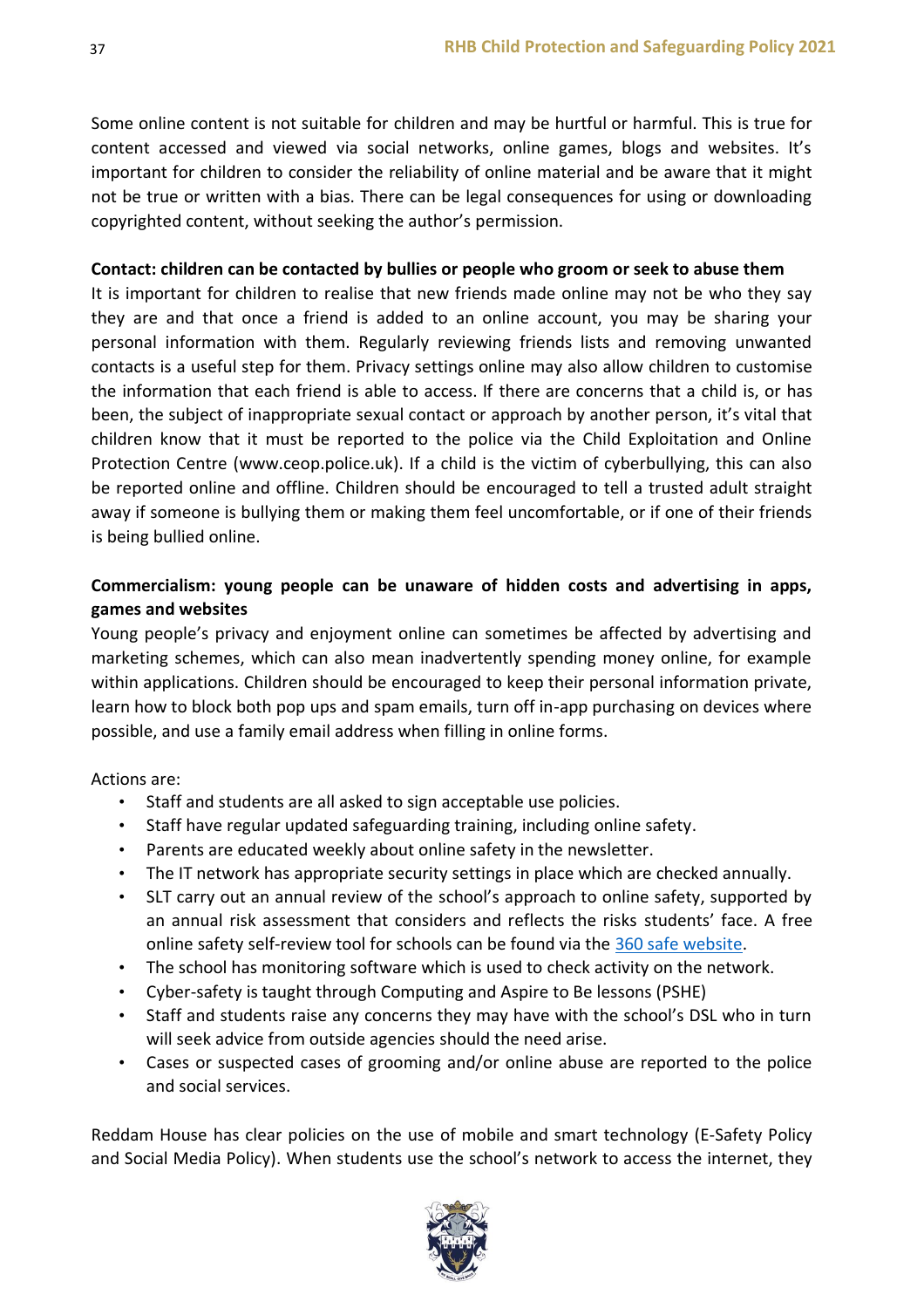Some online content is not suitable for children and may be hurtful or harmful. This is true for content accessed and viewed via social networks, online games, blogs and websites. It's important for children to consider the reliability of online material and be aware that it might not be true or written with a bias. There can be legal consequences for using or downloading copyrighted content, without seeking the author's permission.

#### **Contact: children can be contacted by bullies or people who groom or seek to abuse them**

It is important for children to realise that new friends made online may not be who they say they are and that once a friend is added to an online account, you may be sharing your personal information with them. Regularly reviewing friends lists and removing unwanted contacts is a useful step for them. Privacy settings online may also allow children to customise the information that each friend is able to access. If there are concerns that a child is, or has been, the subject of inappropriate sexual contact or approach by another person, it's vital that children know that it must be reported to the police via the Child Exploitation and Online Protection Centre (www.ceop.police.uk). If a child is the victim of cyberbullying, this can also be reported online and offline. Children should be encouraged to tell a trusted adult straight away if someone is bullying them or making them feel uncomfortable, or if one of their friends is being bullied online.

#### **Commercialism: young people can be unaware of hidden costs and advertising in apps, games and websites**

Young people's privacy and enjoyment online can sometimes be affected by advertising and marketing schemes, which can also mean inadvertently spending money online, for example within applications. Children should be encouraged to keep their personal information private, learn how to block both pop ups and spam emails, turn off in-app purchasing on devices where possible, and use a family email address when filling in online forms.

Actions are:

- Staff and students are all asked to sign acceptable use policies.
- Staff have regular updated safeguarding training, including online safety.
- Parents are educated weekly about online safety in the newsletter.
- The IT network has appropriate security settings in place which are checked annually.
- SLT carry out an annual review of the school's approach to online safety, supported by an annual risk assessment that considers and reflects the risks students' face. A free online safety self-review tool for schools can be found via the [360 safe website.](https://360safe.org.uk/)
- The school has monitoring software which is used to check activity on the network.
- Cyber-safety is taught through Computing and Aspire to Be lessons (PSHE)
- Staff and students raise any concerns they may have with the school's DSL who in turn will seek advice from outside agencies should the need arise.
- Cases or suspected cases of grooming and/or online abuse are reported to the police and social services.

Reddam House has clear policies on the use of mobile and smart technology (E-Safety Policy and Social Media Policy). When students use the school's network to access the internet, they

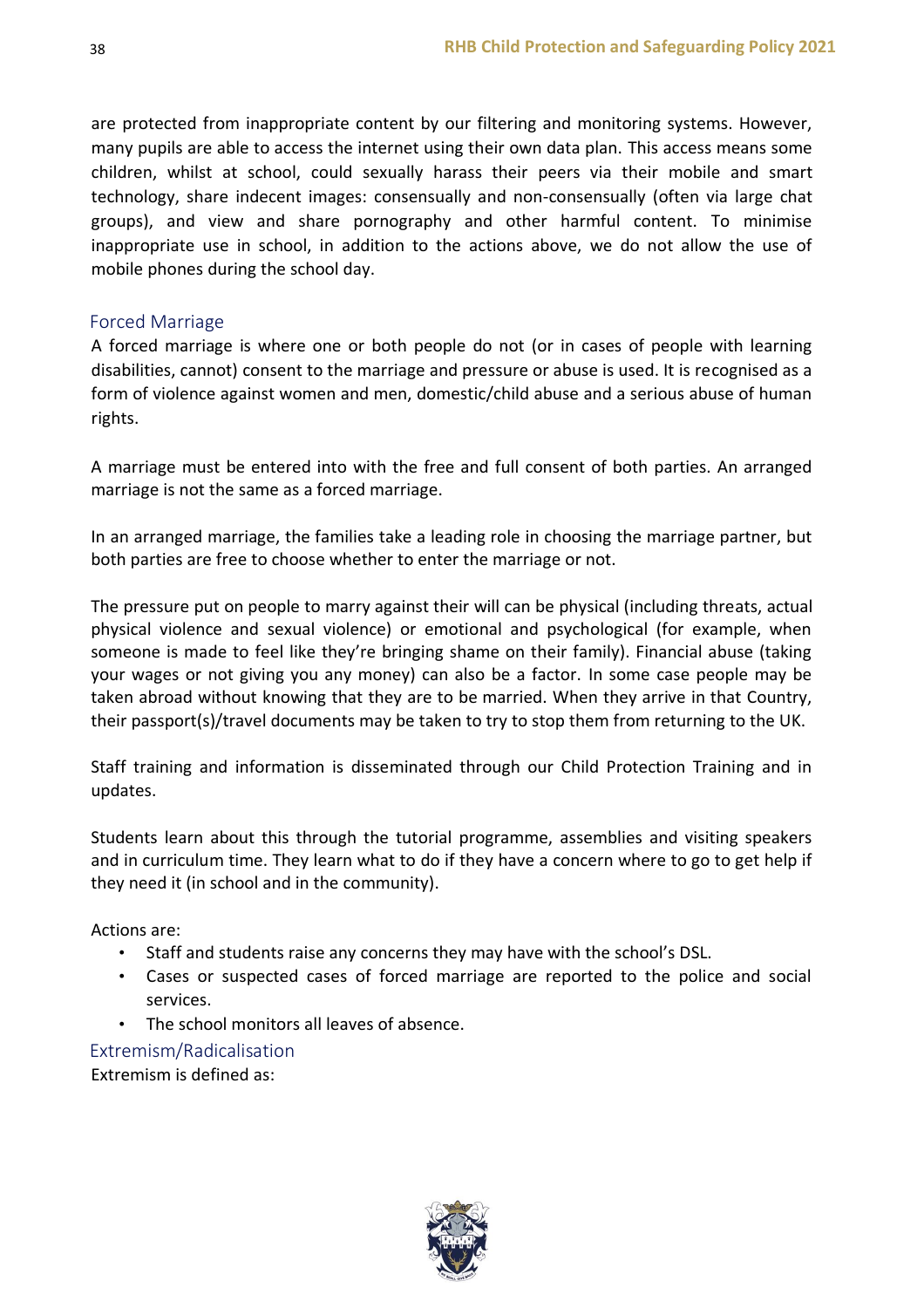are protected from inappropriate content by our filtering and monitoring systems. However, many pupils are able to access the internet using their own data plan. This access means some children, whilst at school, could sexually harass their peers via their mobile and smart technology, share indecent images: consensually and non-consensually (often via large chat groups), and view and share pornography and other harmful content. To minimise inappropriate use in school, in addition to the actions above, we do not allow the use of mobile phones during the school day.

#### <span id="page-37-0"></span>Forced Marriage

A forced marriage is where one or both people do not (or in cases of people with learning disabilities, cannot) consent to the marriage and pressure or abuse is used. It is recognised as a form of violence against women and men, domestic/child abuse and a serious abuse of human rights.

A marriage must be entered into with the free and full consent of both parties. An arranged marriage is not the same as a forced marriage.

In an arranged marriage, the families take a leading role in choosing the marriage partner, but both parties are free to choose whether to enter the marriage or not.

The pressure put on people to marry against their will can be physical (including threats, actual physical violence and sexual violence) or emotional and psychological (for example, when someone is made to feel like they're bringing shame on their family). Financial abuse (taking your wages or not giving you any money) can also be a factor. In some case people may be taken abroad without knowing that they are to be married. When they arrive in that Country, their passport(s)/travel documents may be taken to try to stop them from returning to the UK.

Staff training and information is disseminated through our Child Protection Training and in updates.

Students learn about this through the tutorial programme, assemblies and visiting speakers and in curriculum time. They learn what to do if they have a concern where to go to get help if they need it (in school and in the community).

Actions are:

- Staff and students raise any concerns they may have with the school's DSL.
- Cases or suspected cases of forced marriage are reported to the police and social services.
- The school monitors all leaves of absence.

<span id="page-37-1"></span>Extremism/Radicalisation

Extremism is defined as:

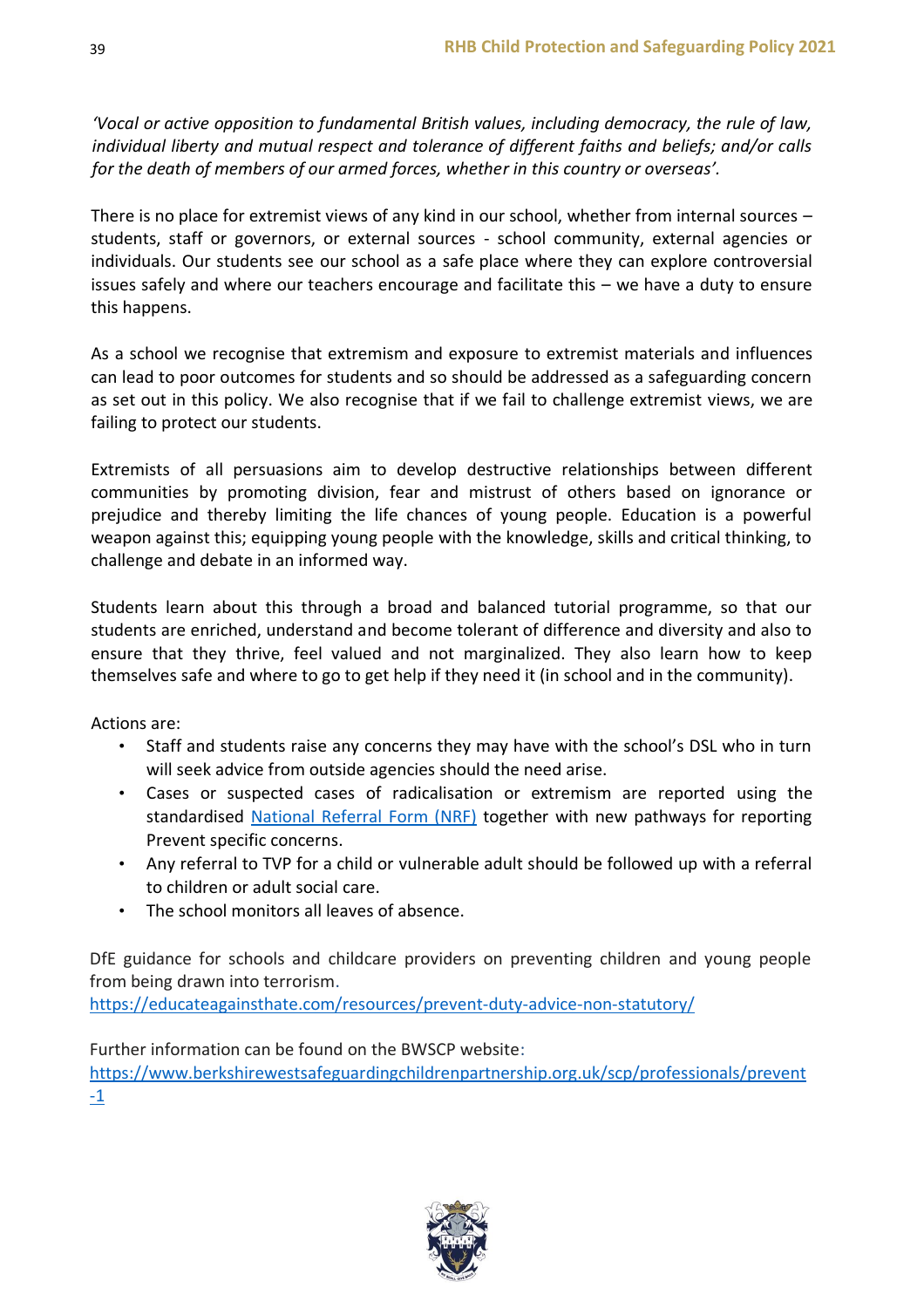*'Vocal or active opposition to fundamental British values, including democracy, the rule of law, individual liberty and mutual respect and tolerance of different faiths and beliefs; and/or calls for the death of members of our armed forces, whether in this country or overseas'.* 

There is no place for extremist views of any kind in our school, whether from internal sources – students, staff or governors, or external sources - school community, external agencies or individuals. Our students see our school as a safe place where they can explore controversial issues safely and where our teachers encourage and facilitate this – we have a duty to ensure this happens.

As a school we recognise that extremism and exposure to extremist materials and influences can lead to poor outcomes for students and so should be addressed as a safeguarding concern as set out in this policy. We also recognise that if we fail to challenge extremist views, we are failing to protect our students.

Extremists of all persuasions aim to develop destructive relationships between different communities by promoting division, fear and mistrust of others based on ignorance or prejudice and thereby limiting the life chances of young people. Education is a powerful weapon against this; equipping young people with the knowledge, skills and critical thinking, to challenge and debate in an informed way.

Students learn about this through a broad and balanced tutorial programme, so that our students are enriched, understand and become tolerant of difference and diversity and also to ensure that they thrive, feel valued and not marginalized. They also learn how to keep themselves safe and where to go to get help if they need it (in school and in the community).

Actions are:

- Staff and students raise any concerns they may have with the school's DSL who in turn will seek advice from outside agencies should the need arise.
- Cases or suspected cases of radicalisation or extremism are reported using the standardised [National Referral Form \(NRF\)](https://reddamhouse.sharepoint.com/:w:/s/EmployeePortal/EURFElkhNy1JmrlDa4p3yFUBQzm11Fpv3oxnHQQym4I3LA) together with new pathways for reporting Prevent specific concerns.
- Any referral to TVP for a child or vulnerable adult should be followed up with a referral to children or adult social care.
- The school monitors all leaves of absence.

DfE guidance for schools and childcare providers on preventing children and young people from being drawn into terrorism.

<https://educateagainsthate.com/resources/prevent-duty-advice-non-statutory/>

Further information can be found on the BWSCP website:

[https://www.berkshirewestsafeguardingchildrenpartnership.org.uk/scp/professionals/prevent](https://www.berkshirewestsafeguardingchildrenpartnership.org.uk/scp/professionals/prevent-1) [-1](https://www.berkshirewestsafeguardingchildrenpartnership.org.uk/scp/professionals/prevent-1)